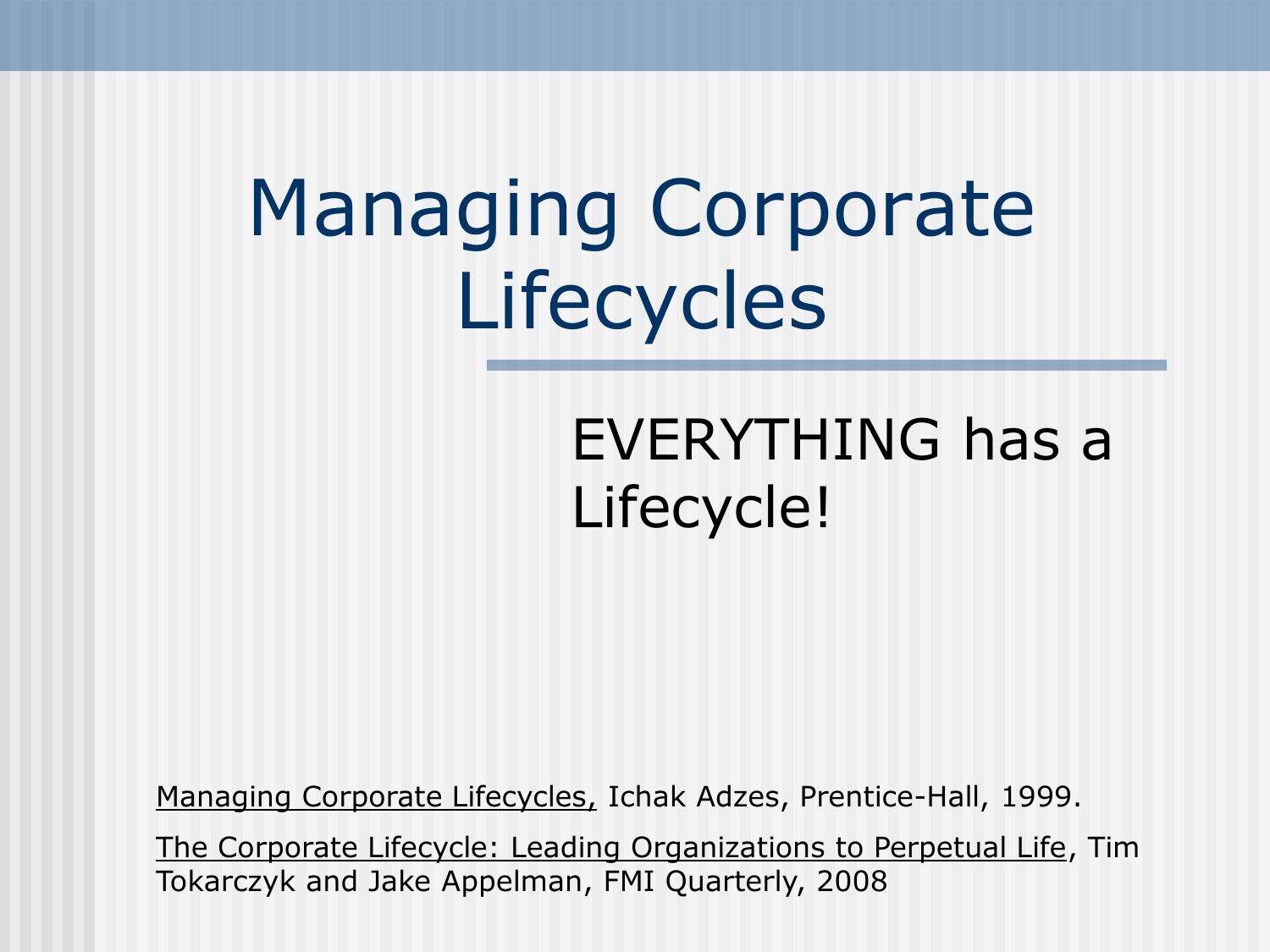## Managing Corporate Lifecycles

### EVERYTHING has a Lifecycle!

Managing Corporate Lifecycles, Ichak Adzes, Prentice-Hall, 1999.

The Corporate Lifecycle: Leading Organizations to Perpetual Life, Tim Tokarczyk and Jake Appelman, FMI Quarterly, 2008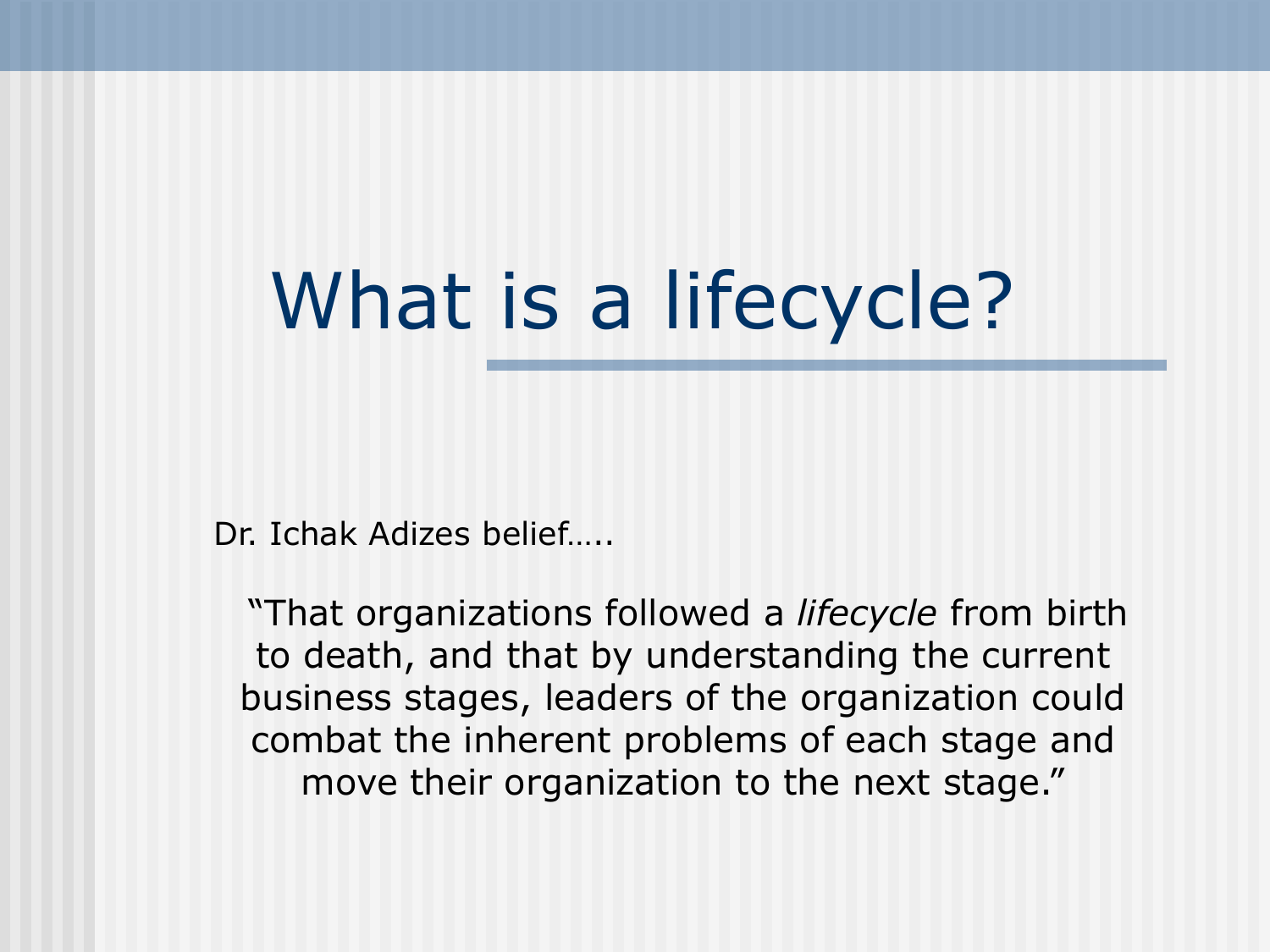# What is a lifecycle?

Dr. Ichak Adizes belief…..

"That organizations followed a *lifecycle* from birth to death, and that by understanding the current business stages, leaders of the organization could combat the inherent problems of each stage and move their organization to the next stage."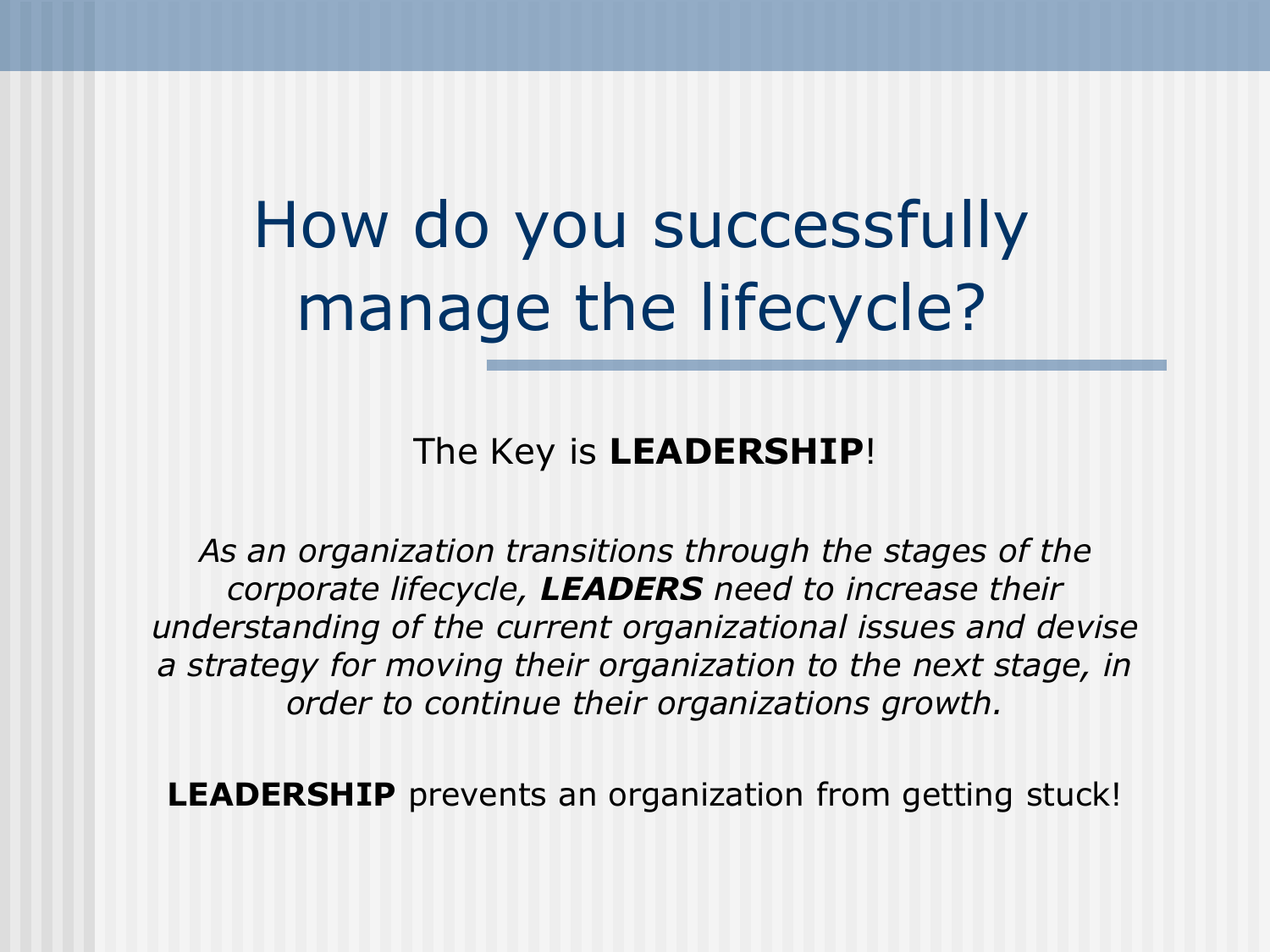How do you successfully manage the lifecycle?

The Key is **LEADERSHIP**!

*As an organization transitions through the stages of the corporate lifecycle, LEADERS need to increase their understanding of the current organizational issues and devise a strategy for moving their organization to the next stage, in order to continue their organizations growth.*

**LEADERSHIP** prevents an organization from getting stuck!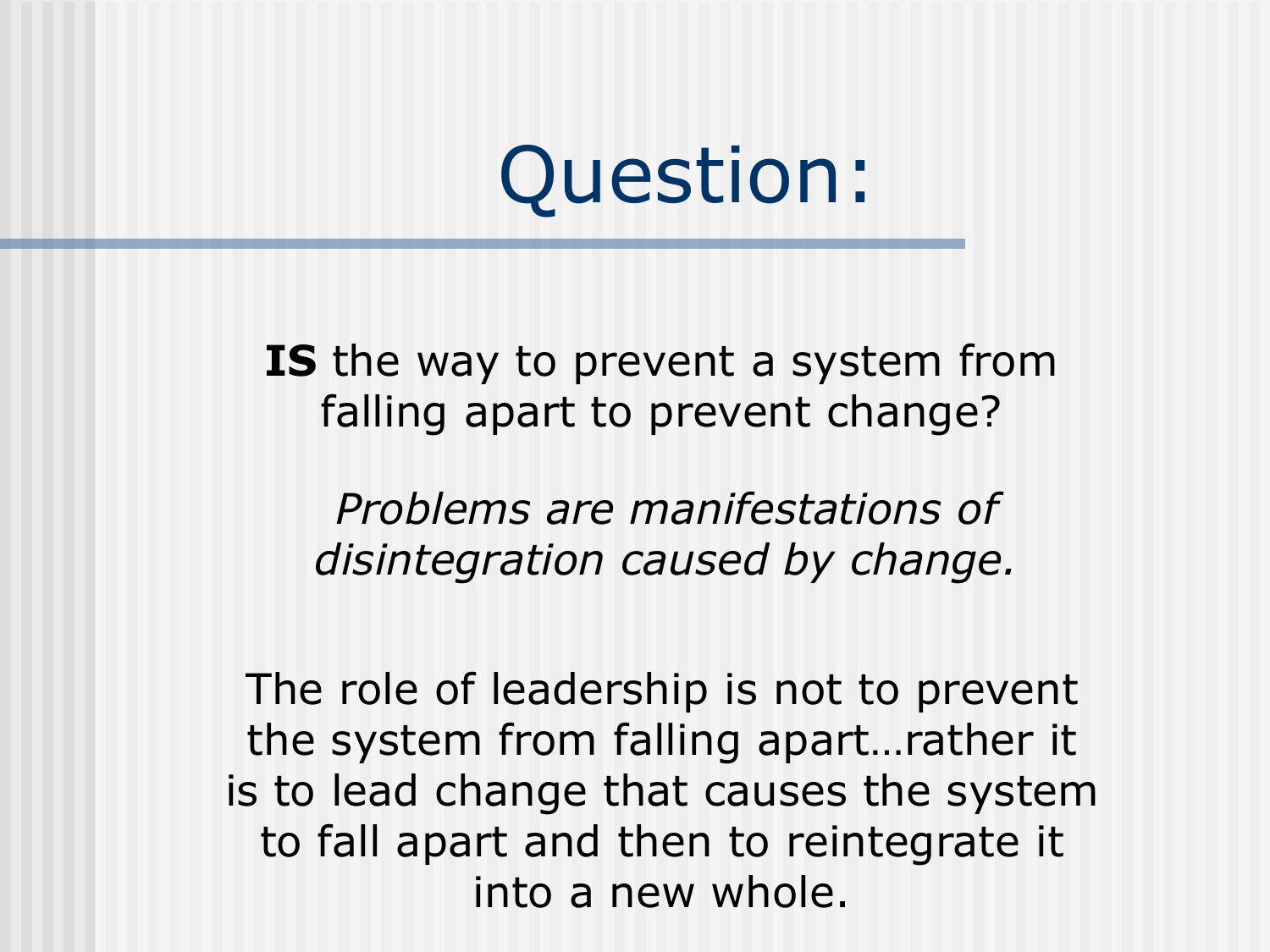Question:

**IS** the way to prevent a system from falling apart to prevent change?

*Problems are manifestations of disintegration caused by change.*

The role of leadership is not to prevent the system from falling apart…rather it is to lead change that causes the system to fall apart and then to reintegrate it into a new whole.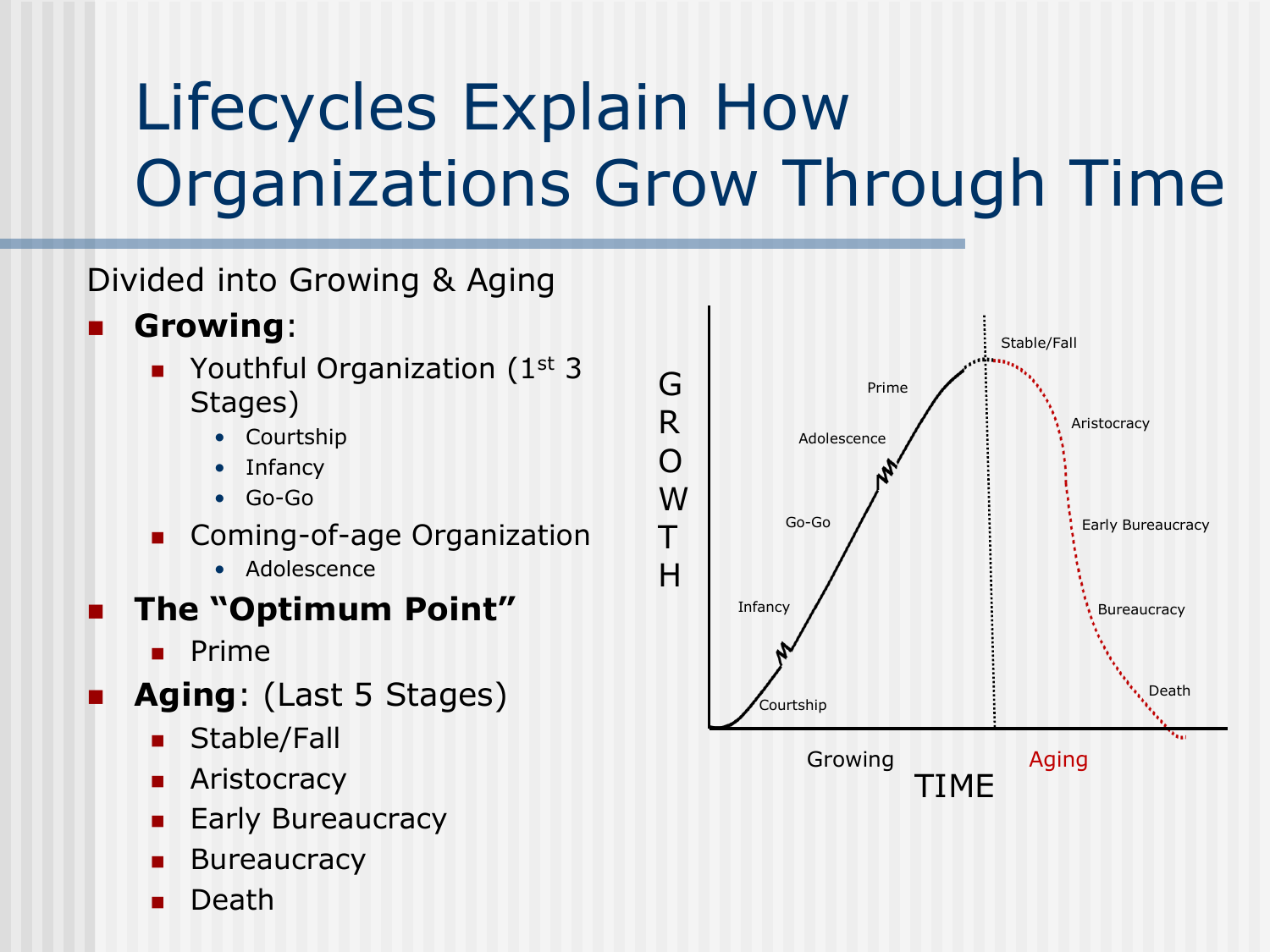### Lifecycles Explain How Organizations Grow Through Time

#### Divided into Growing & Aging

- **Growing**:
	- Youthful Organization (1<sup>st</sup> 3 Stages)
		- **Courtship**
		- **Infancy**
		- Go-Go
	- **Coming-of-age Organization** 
		- Adolescence

#### **The "Optimum Point"**

- **Prime**
- **Aging**: (Last 5 Stages)
	- Stable/Fall
	- Aristocracy
	- Early Bureaucracy
	- **Bureaucracy**
	- Death

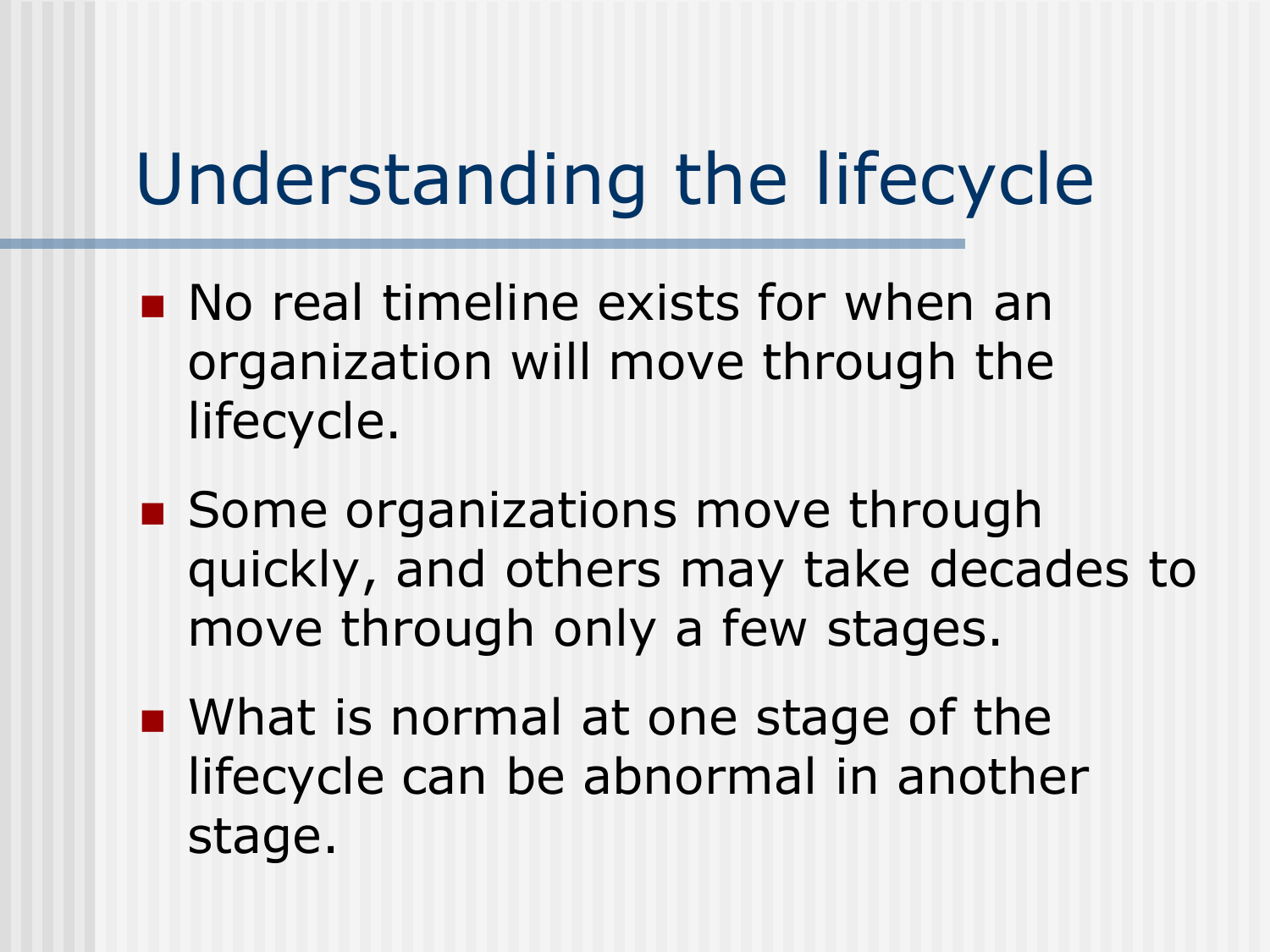### Understanding the lifecycle

- **No real timeline exists for when an** organization will move through the lifecycle.
- Some organizations move through quickly, and others may take decades to move through only a few stages.
- **NHATE IS normal at one stage of the** lifecycle can be abnormal in another stage.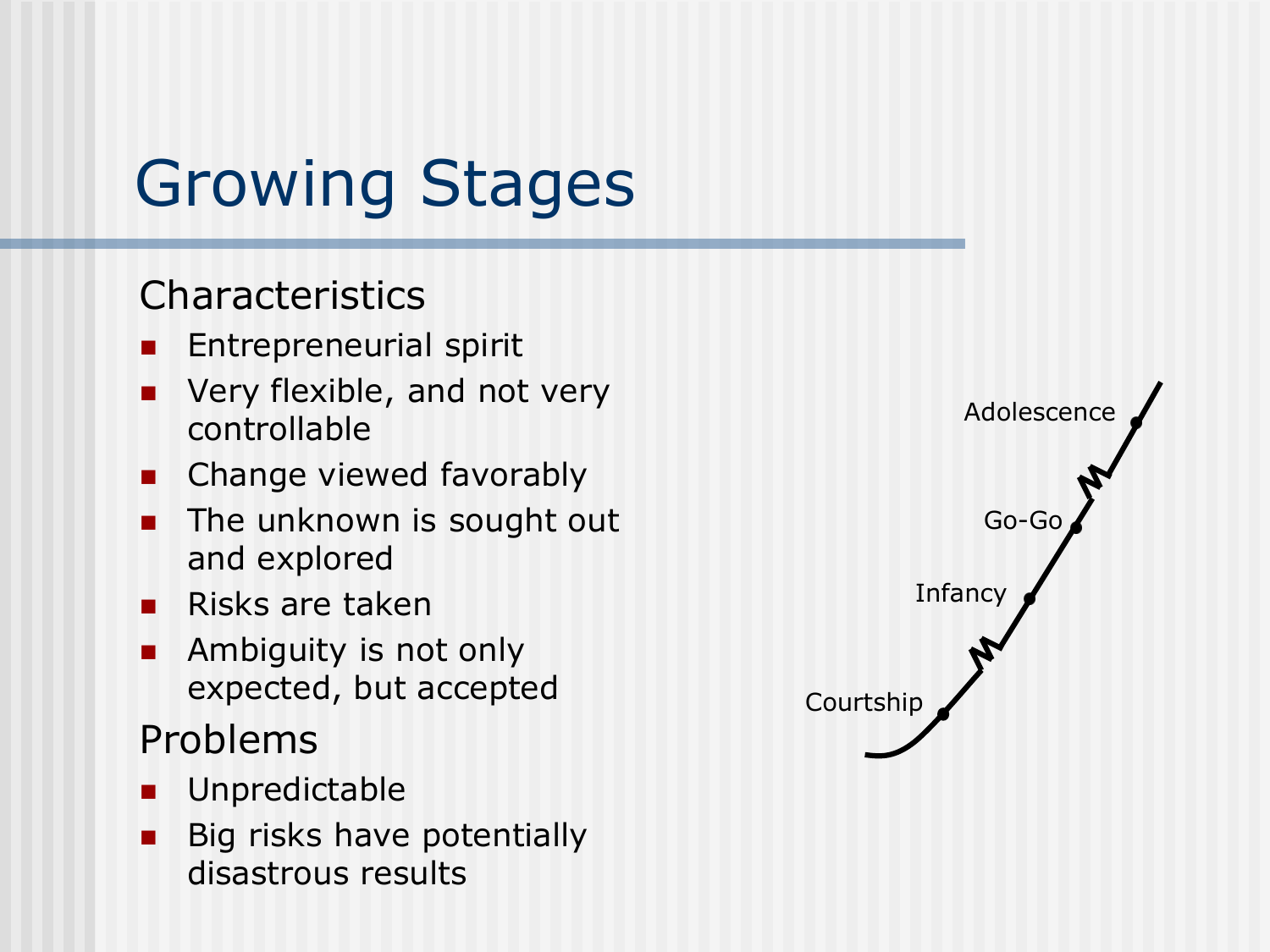### Growing Stages

#### **Characteristics**

- Entrepreneurial spirit
- Very flexible, and not very controllable
- **EXEC** Change viewed favorably
- The unknown is sought out and explored
- $\blacksquare$  Risks are taken
- **Ambiguity is not only** expected, but accepted

#### Problems

- **Unpredictable**
- Big risks have potentially disastrous results

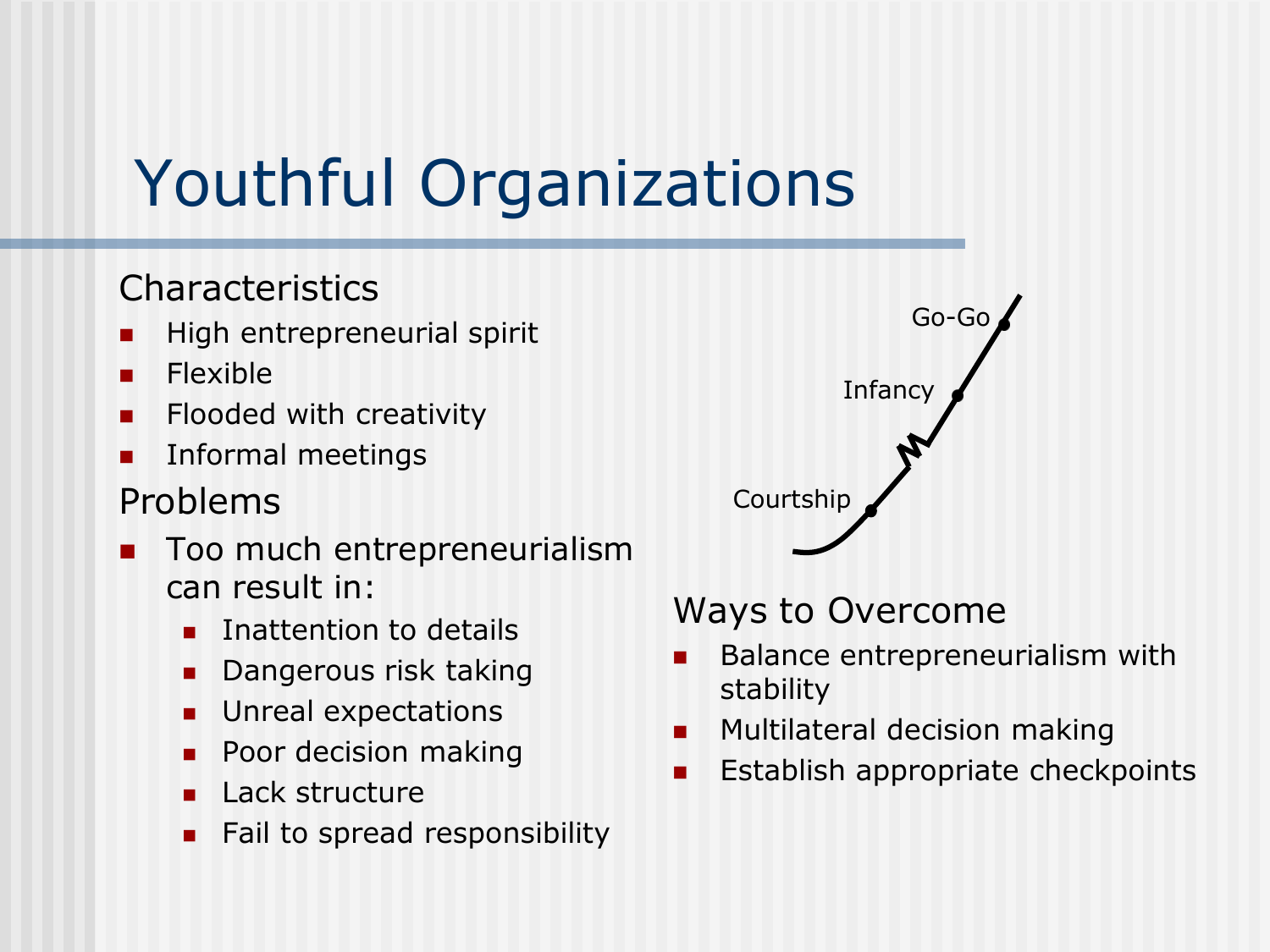### Youthful Organizations

#### Characteristics

- High entrepreneurial spirit
- **Flexible**
- $\blacksquare$  Flooded with creativity
- Informal meetings

#### Problems

- Too much entrepreneurialism can result in:
	- Inattention to details
	- Dangerous risk taking
	- Unreal expectations
	- **Poor decision making**
	- **Lack structure**
	- Fail to spread responsibility



#### Ways to Overcome

- Balance entrepreneurialism with stability
- Multilateral decision making
- $\blacksquare$  Establish appropriate checkpoints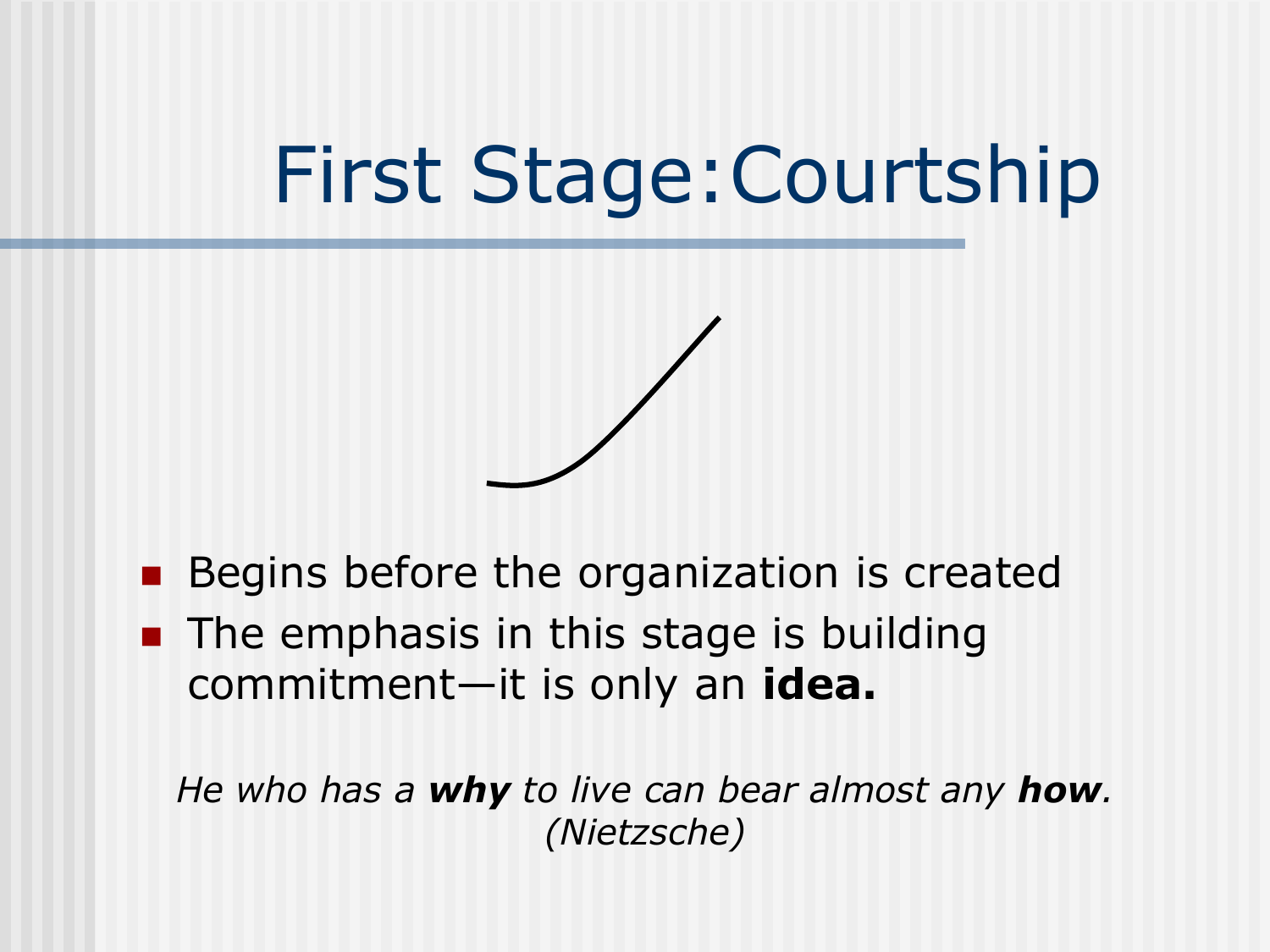### First Stage:Courtship



- **Begins before the organization is created**
- **The emphasis in this stage is building** commitment—it is only an **idea.**

*He who has a why to live can bear almost any how. (Nietzsche)*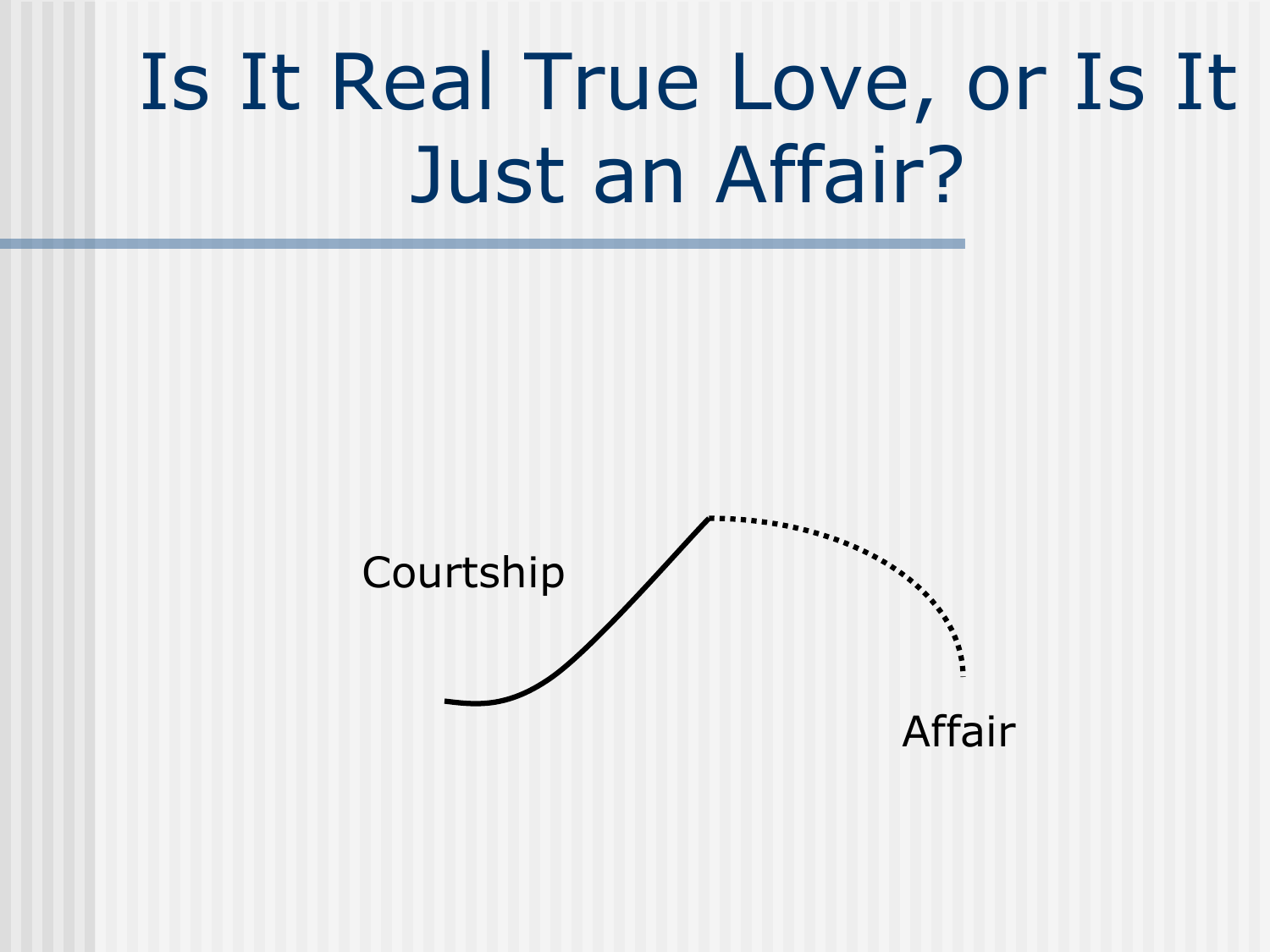## Is It Real True Love, or Is It Just an Affair?

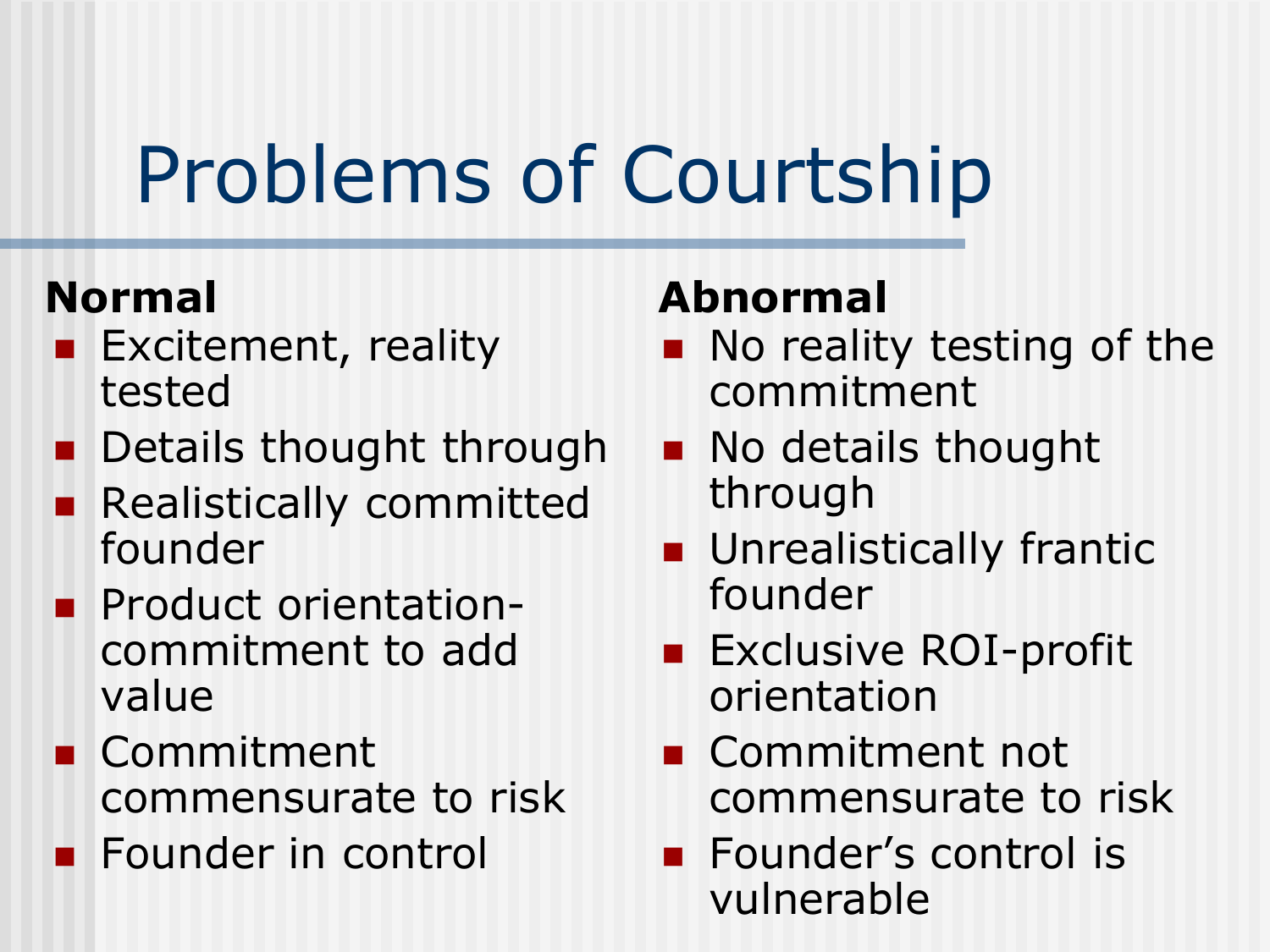# Problems of Courtship

- **Excitement, reality** tested
- **Details thought through**
- **Realistically committed** founder
- **Product orientation**commitment to add value
- **Commitment** commensurate to risk
- **Founder in control**

### **Normal Abnormal**

- No reality testing of the commitment
- **No details thought** through
- **Unrealistically frantic** founder
- **Exclusive ROI-profit** orientation
- **Commitment not** commensurate to risk
- **Founder's control is** vulnerable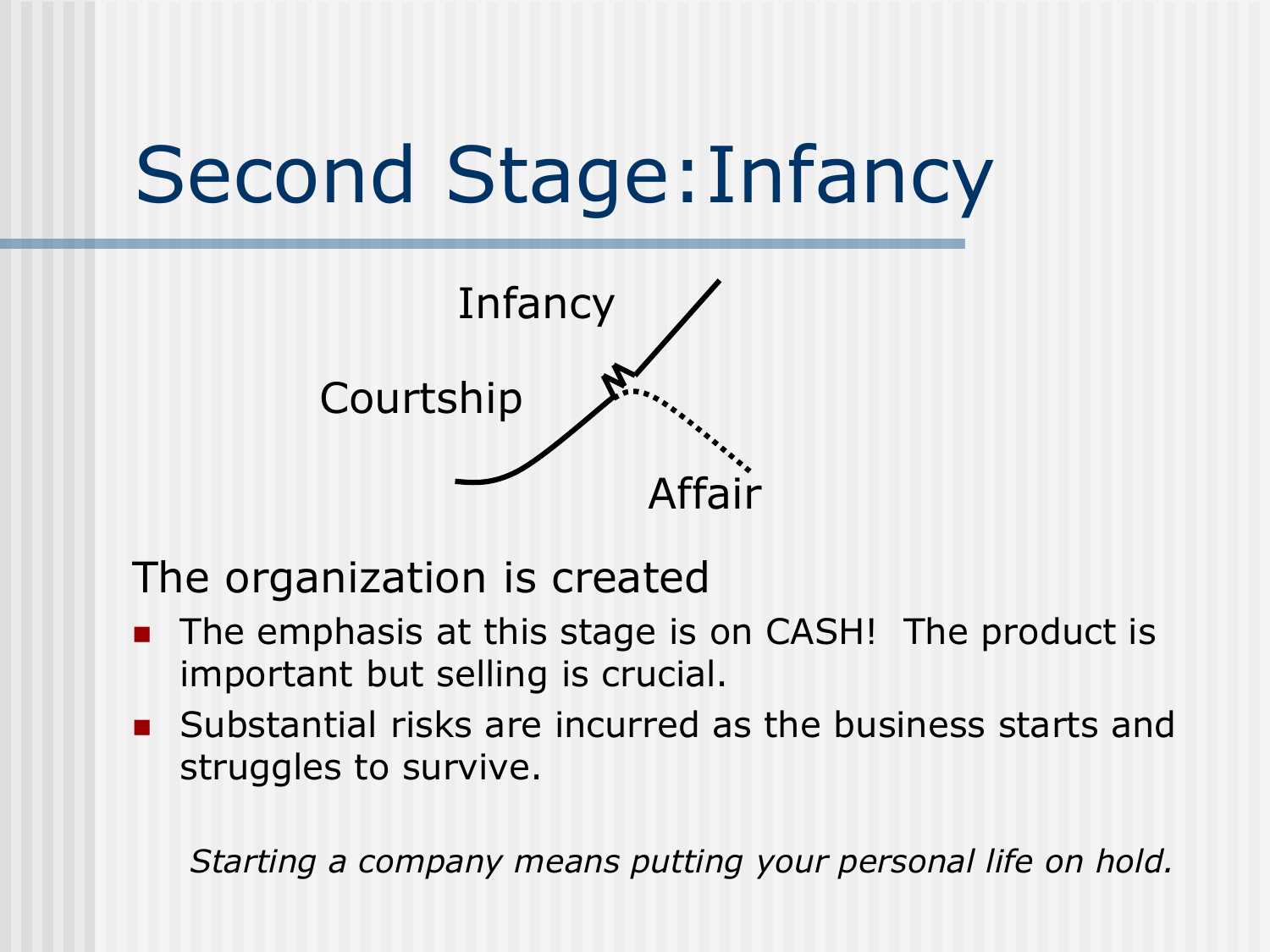# Second Stage:Infancy



The organization is created

- The emphasis at this stage is on CASH! The product is important but selling is crucial.
- **Substantial risks are incurred as the business starts and** struggles to survive.

*Starting a company means putting your personal life on hold.*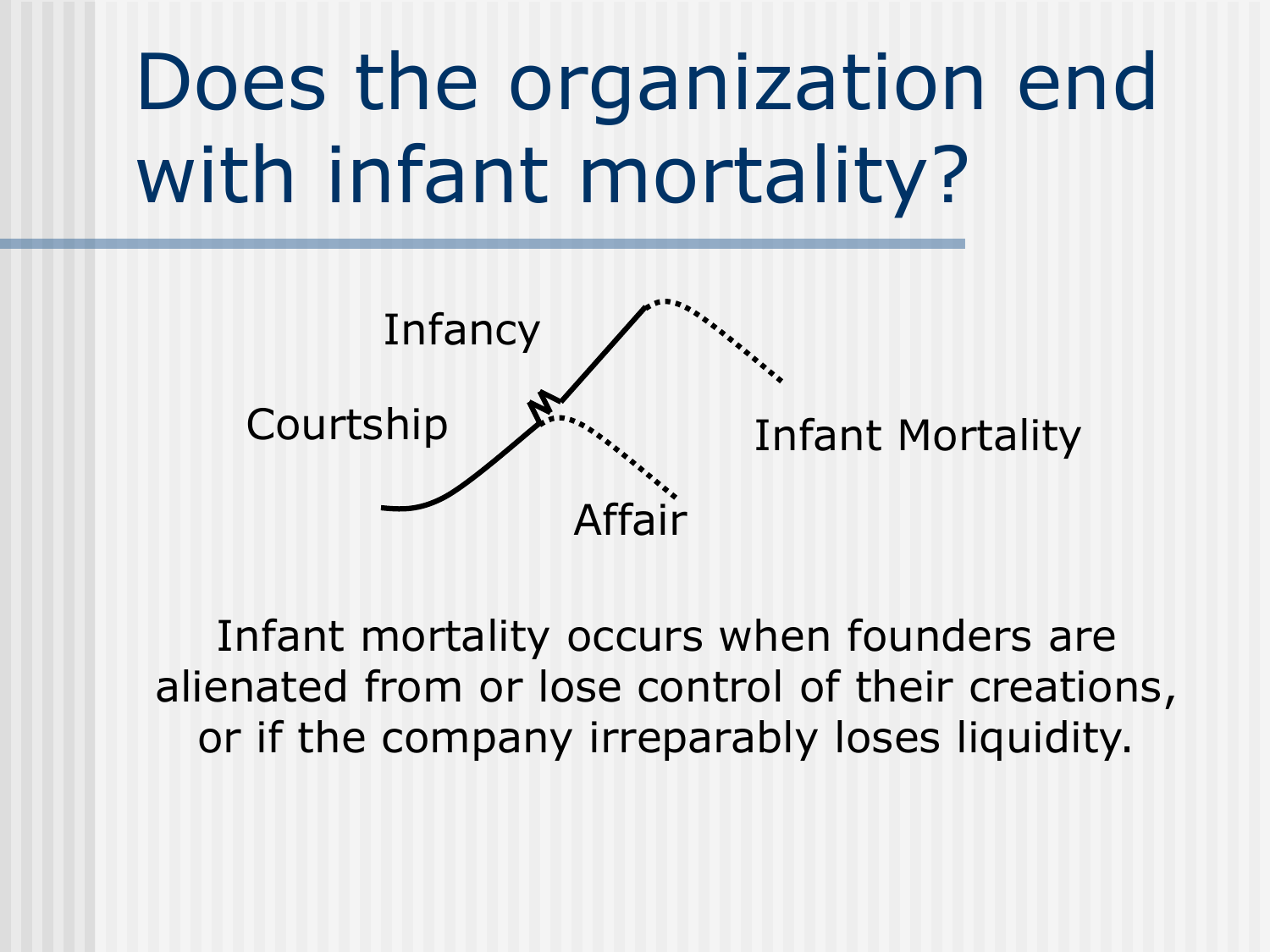# Does the organization end with infant mortality?



Infant mortality occurs when founders are alienated from or lose control of their creations, or if the company irreparably loses liquidity.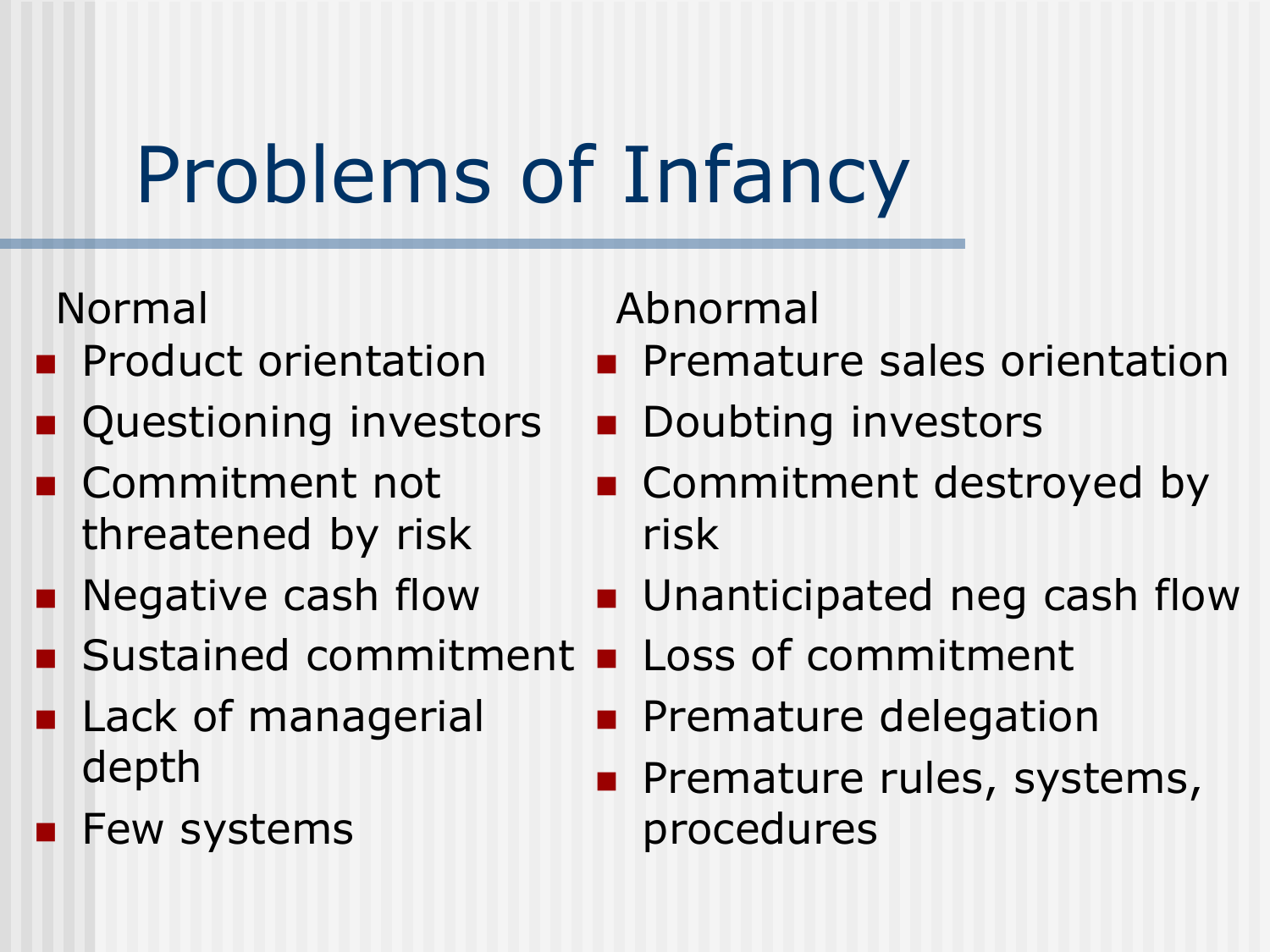# Problems of Infancy

- **Product orientation**
- **Questioning investors**
- **Commitment not** threatened by risk
- **Negative cash flow**
- **Sustained commitment**
- **Lack of managerial** depth
- **Few systems**

### Normal Abnormal

- **Premature sales orientation**
- **Doubting investors**
- Commitment destroyed by risk
- **Unanticipated neg cash flow**
- **Loss of commitment**
- **Premature delegation**
- Premature rules, systems, procedures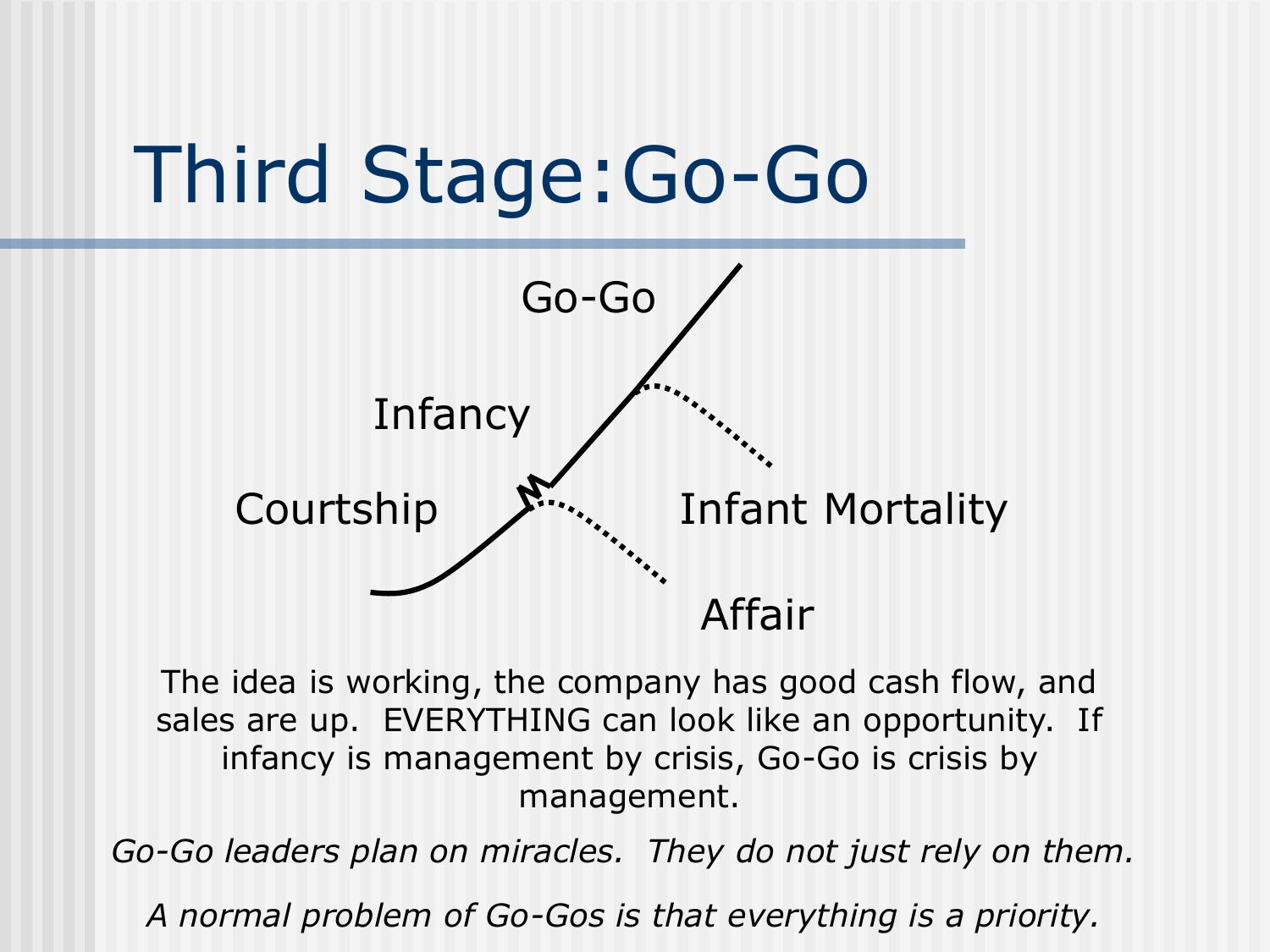



The idea is working, the company has good cash flow, and sales are up. EVERYTHING can look like an opportunity. If infancy is management by crisis, Go-Go is crisis by management.

*Go-Go leaders plan on miracles. They do not just rely on them.*

*A normal problem of Go-Gos is that everything is a priority.*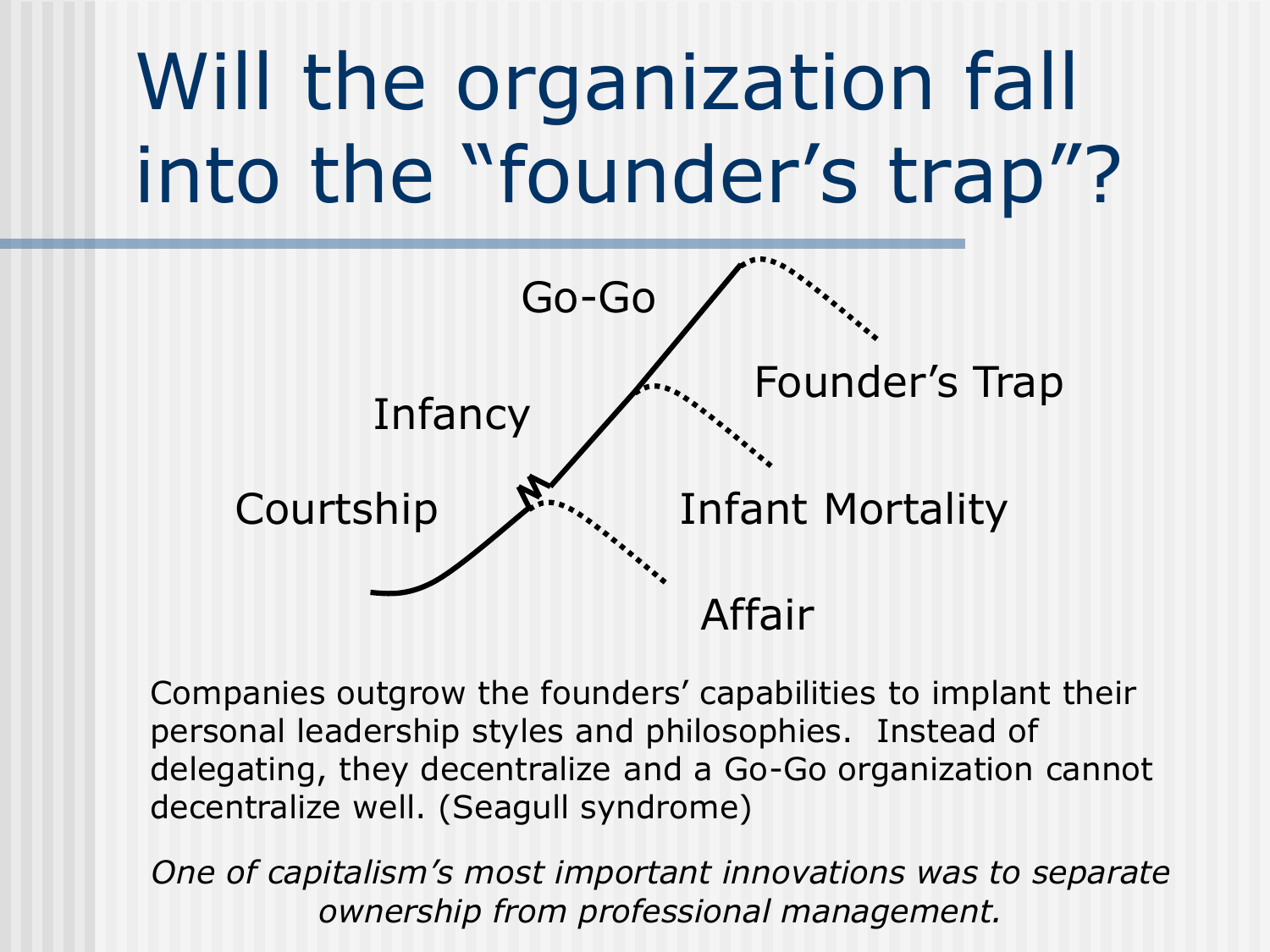# Will the organization fall into the "founder's trap"?



Companies outgrow the founders' capabilities to implant their personal leadership styles and philosophies. Instead of delegating, they decentralize and a Go-Go organization cannot decentralize well. (Seagull syndrome)

*One of capitalism's most important innovations was to separate ownership from professional management.*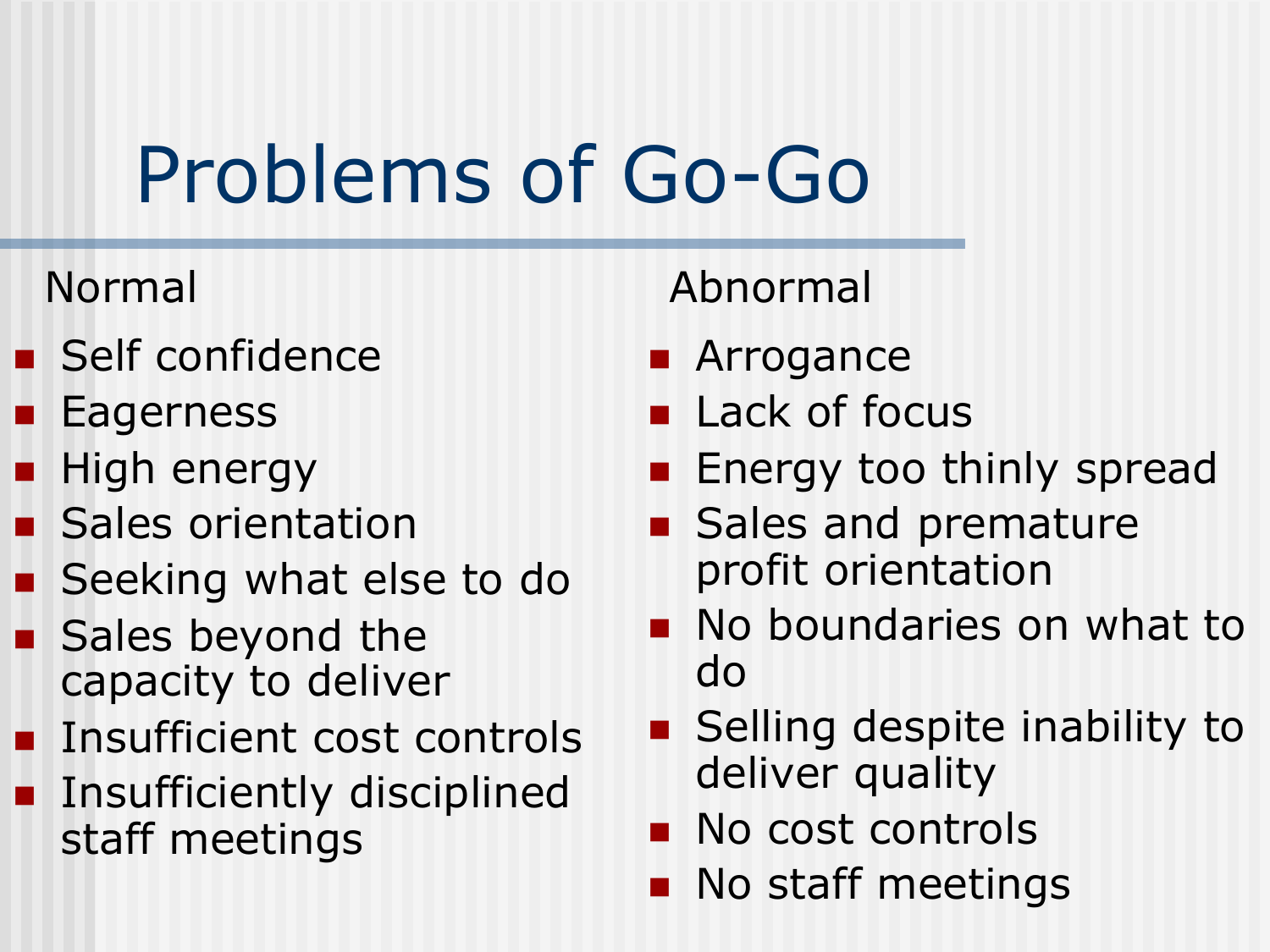# Problems of Go-Go

- **Self confidence**
- **Eagerness**
- High energy
- **Sales orientation**
- Seeking what else to do
- Sales beyond the capacity to deliver
- **Insufficient cost controls**
- **Insufficiently disciplined** staff meetings

### Normal Abnormal

- **Arrogance**
- **Lack of focus**
- **Energy too thinly spread**
- Sales and premature profit orientation
- **No boundaries on what to** do
- Selling despite inability to deliver quality
- No cost controls
- **No staff meetings**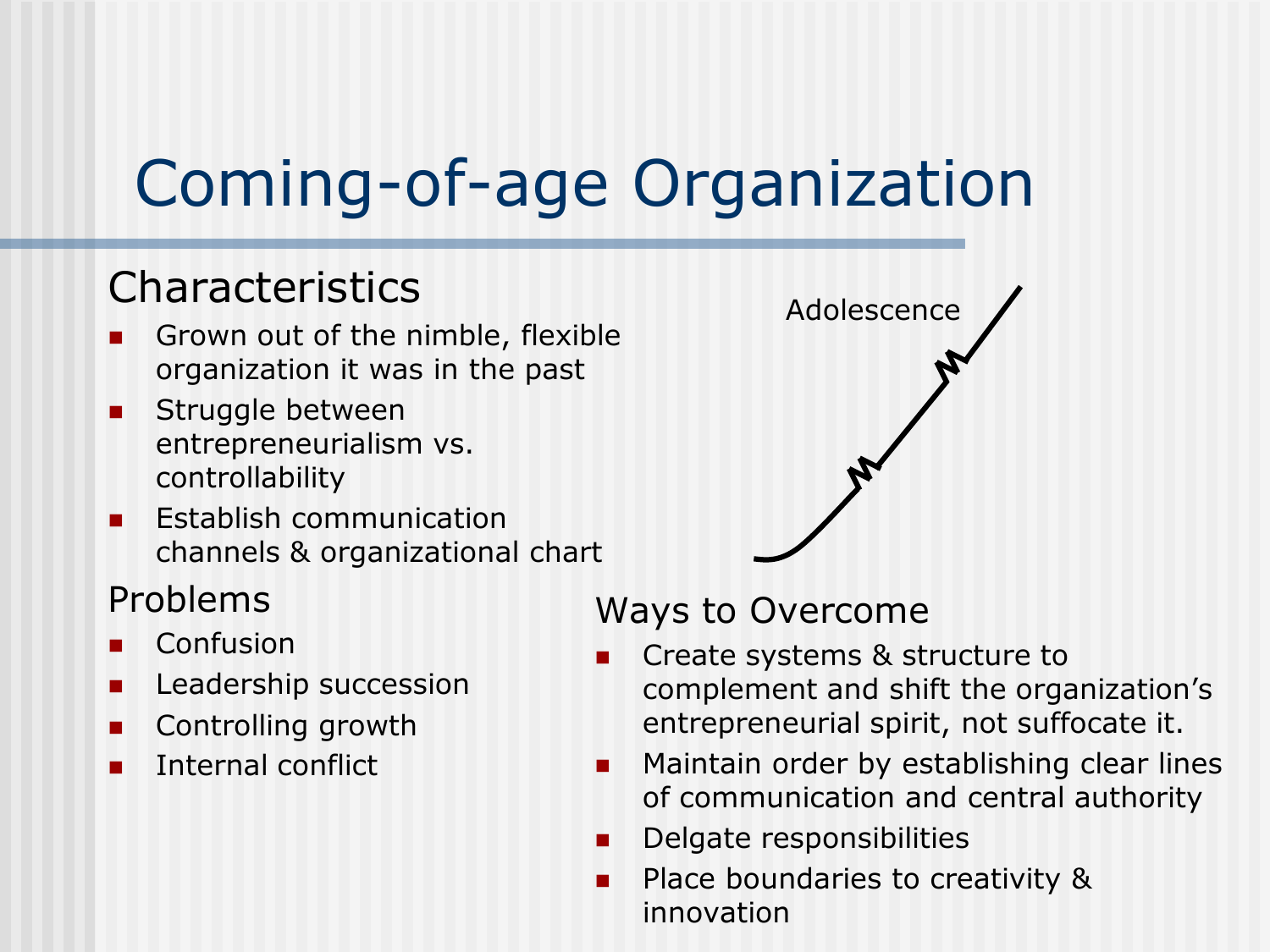### Coming-of-age Organization

#### Characteristics

- Grown out of the nimble, flexible organization it was in the past
- **Struggle between** entrepreneurialism vs. controllability
- Establish communication channels & organizational chart

#### Problems

- Confusion
- Leadership succession
- Controlling growth
- Internal conflict



#### Ways to Overcome

- Create systems & structure to complement and shift the organization's entrepreneurial spirit, not suffocate it.
- **Maintain order by establishing clear lines** of communication and central authority
- **Delgate responsibilities**
- **Place boundaries to creativity &** innovation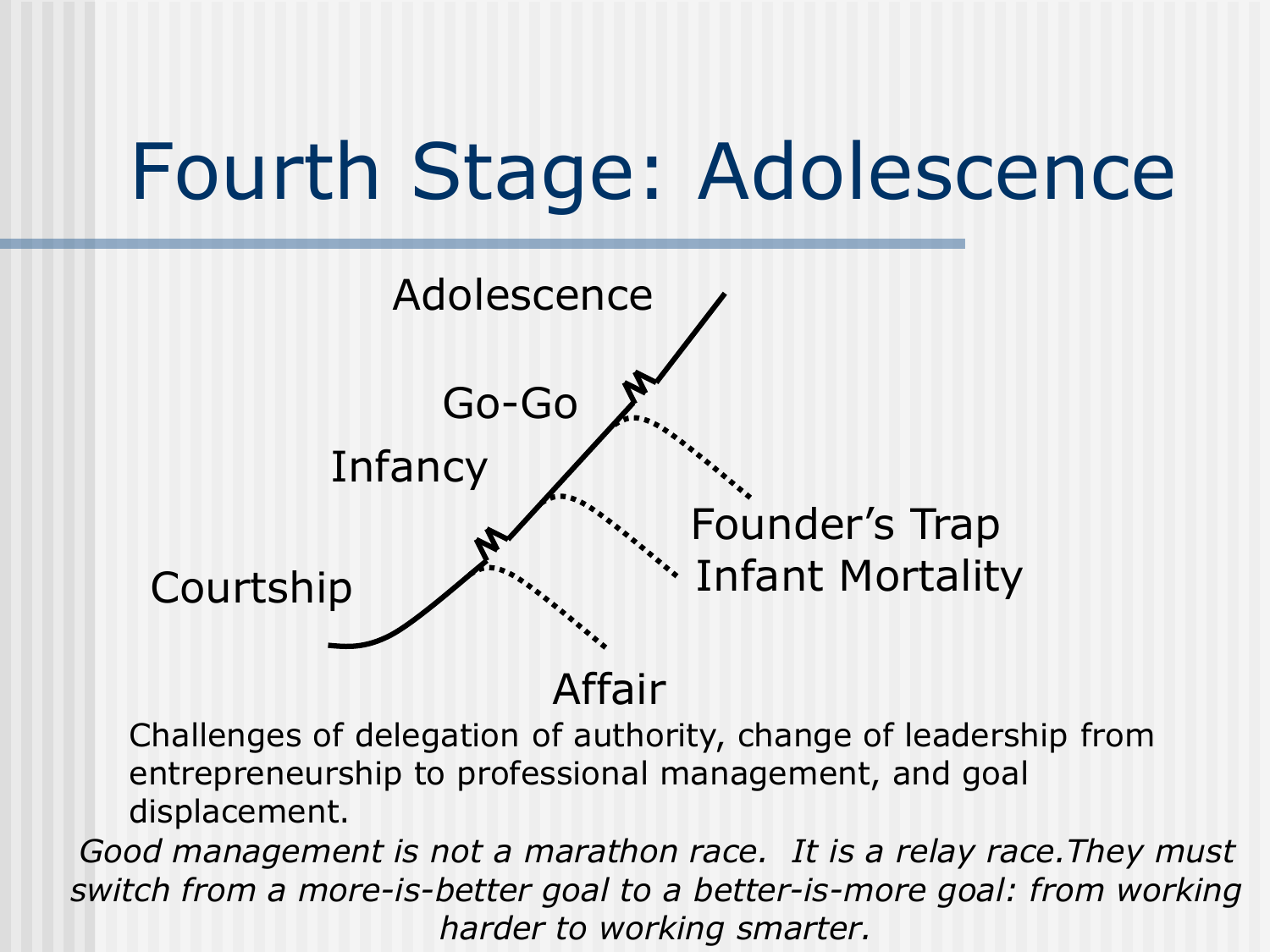## Fourth Stage: Adolescence



Affair

Challenges of delegation of authority, change of leadership from entrepreneurship to professional management, and goal displacement.

*Good management is not a marathon race. It is a relay race.They must switch from a more-is-better goal to a better-is-more goal: from working harder to working smarter.*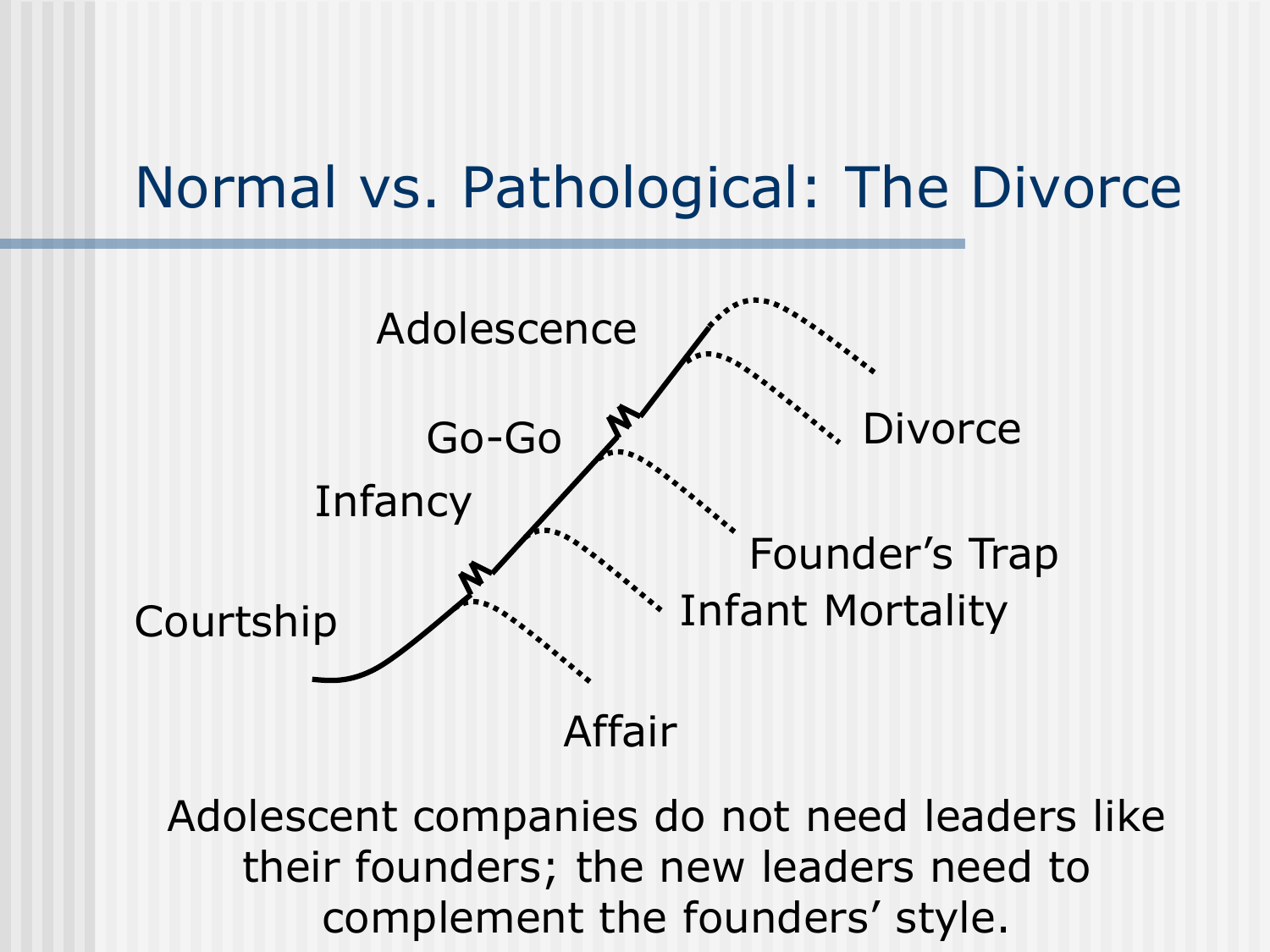### Normal vs. Pathological: The Divorce



Adolescent companies do not need leaders like their founders; the new leaders need to complement the founders' style.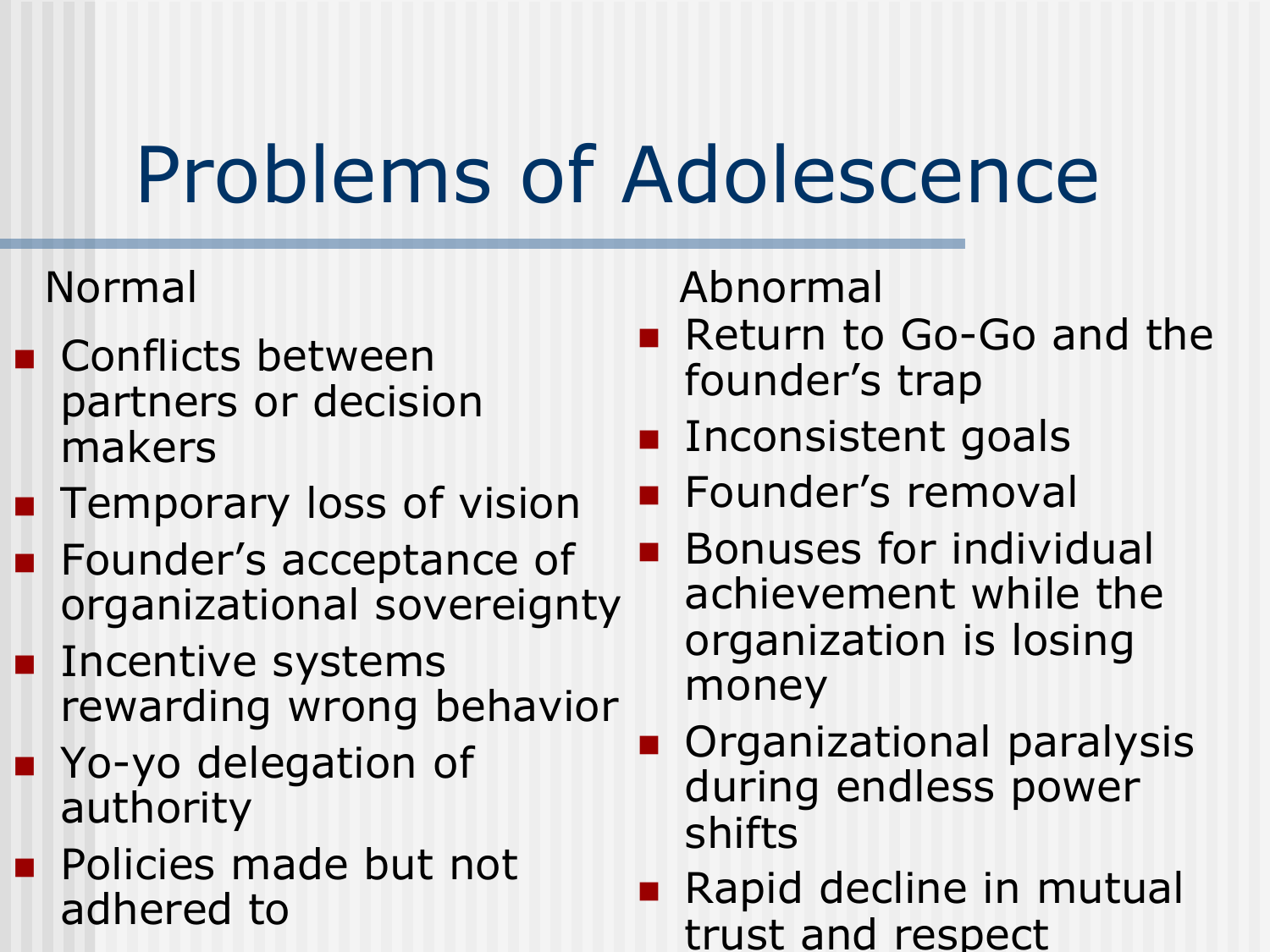# Problems of Adolescence

- **Conflicts between** partners or decision makers
- **Temporary loss of vision**
- **Founder's acceptance of** organizational sovereignty
- **Incentive systems** rewarding wrong behavior
- Yo-yo delegation of authority
- **Policies made but not** adhered to

Normal Abnormal

- Return to Go-Go and the founder's trap
- **Inconsistent goals**
- Founder's removal
- Bonuses for individual achievement while the organization is losing money
- Organizational paralysis during endless power shifts
- Rapid decline in mutual trust and respect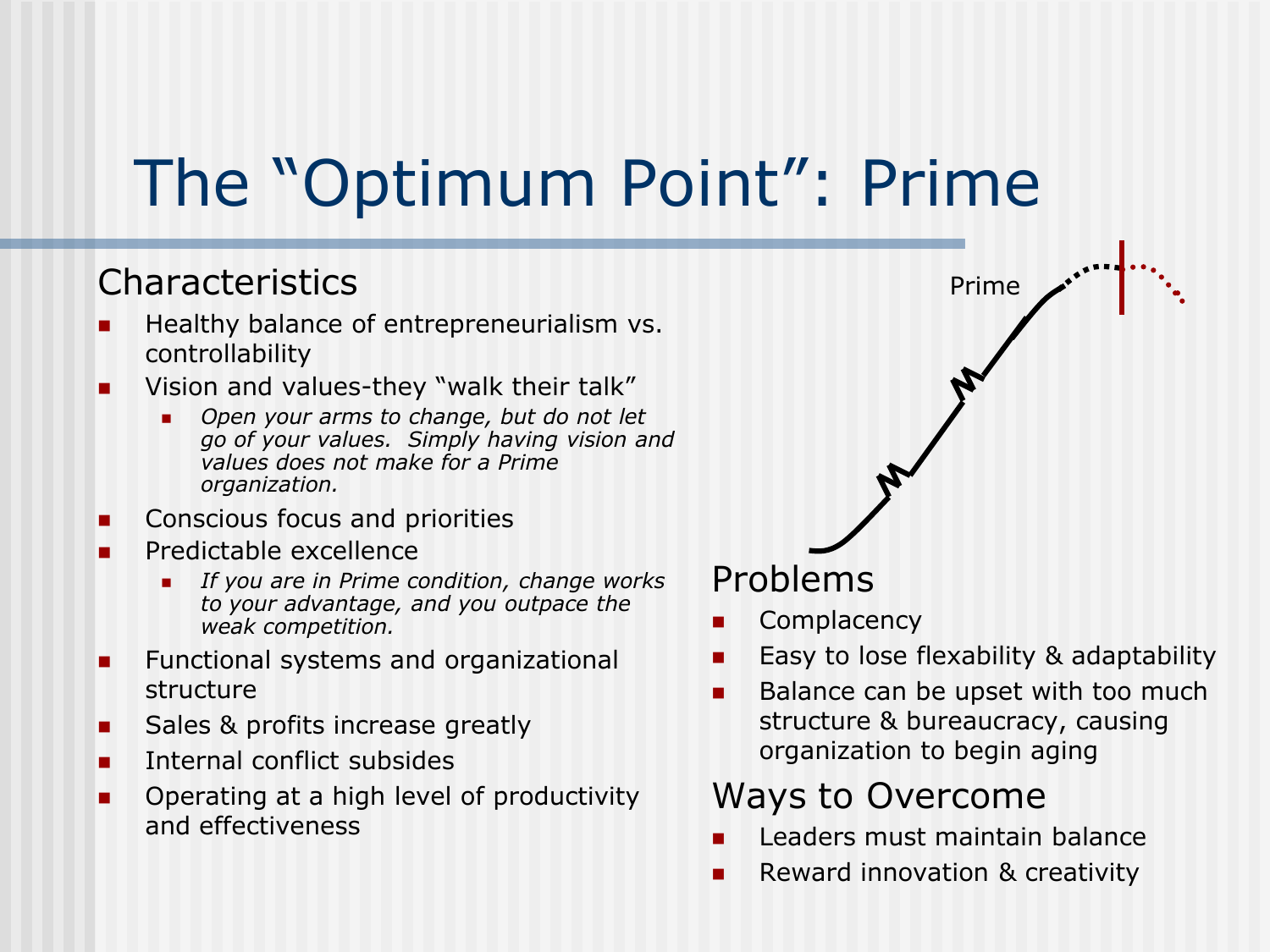### The "Optimum Point": Prime

#### Characteristics

- Healthy balance of entrepreneurialism vs. controllability
- **Number 1** Vision and values-they "walk their talk"
	- *Open your arms to change, but do not let go of your values. Simply having vision and values does not make for a Prime organization.*
- Conscious focus and priorities
- Predictable excellence
	- *If you are in Prime condition, change works to your advantage, and you outpace the weak competition.*
- **Functional systems and organizational** structure
- Sales & profits increase greatly
- Internal conflict subsides
- Operating at a high level of productivity and effectiveness

#### Problems

- **Complacency**
- Easy to lose flexability & adaptability

Prime

**Balance can be upset with too much** structure & bureaucracy, causing organization to begin aging

#### Ways to Overcome

- Leaders must maintain balance
- **Reward innovation & creativity**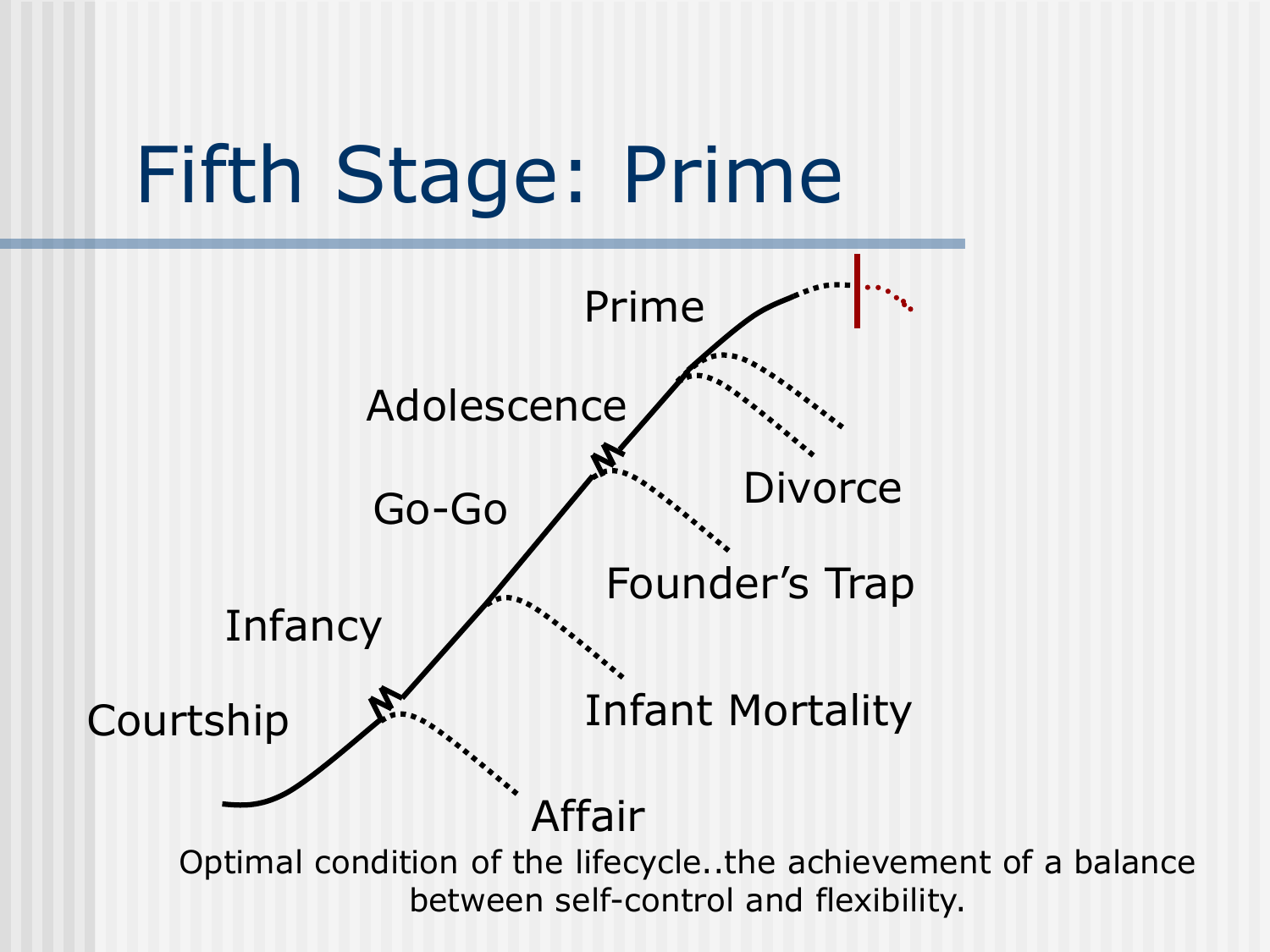

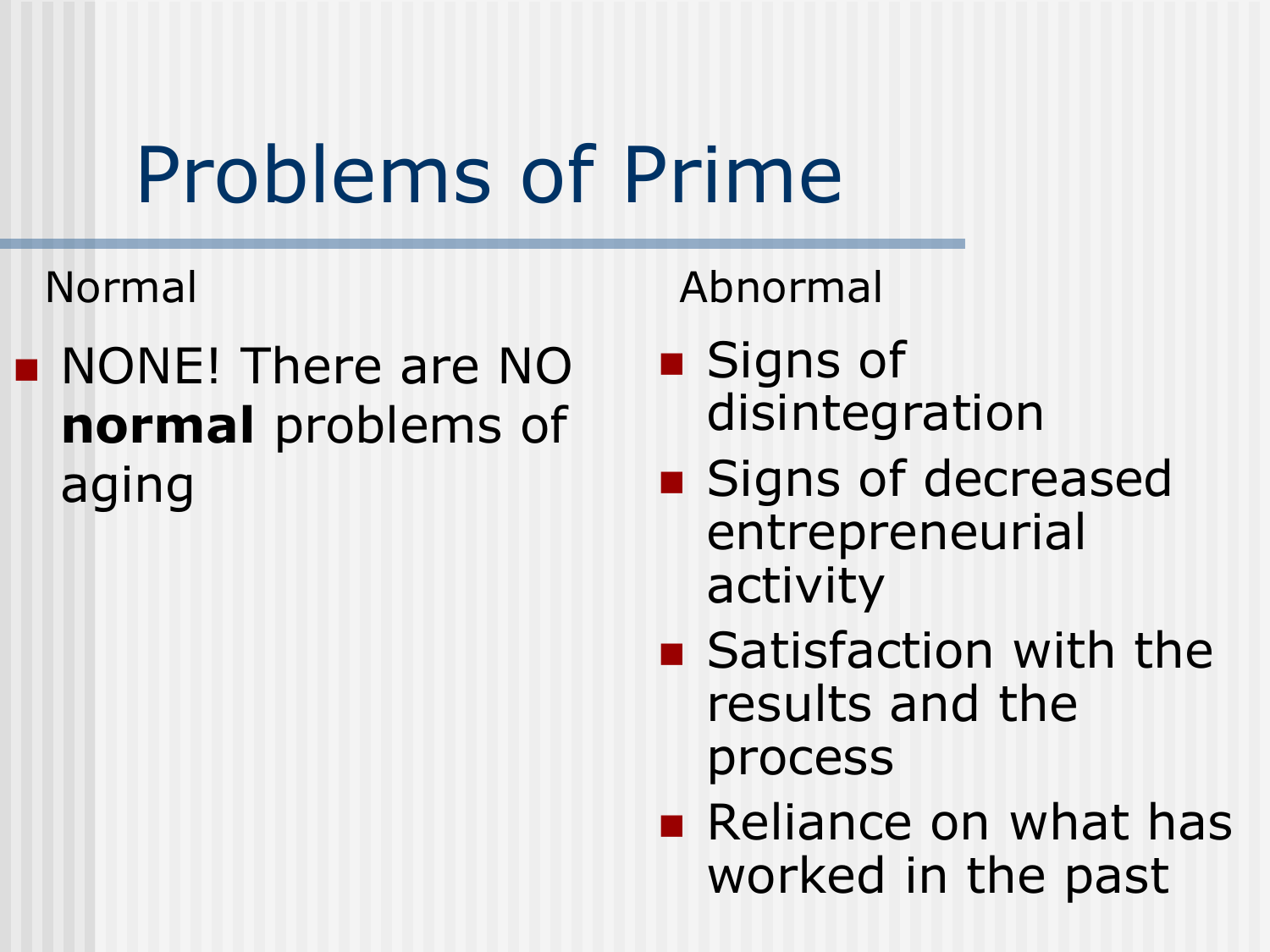# Problems of Prime

**NONE! There are NO normal** problems of aging

Normal Abnormal

- Signs of disintegration
- **Signs of decreased** entrepreneurial activity
- Satisfaction with the results and the process
- **Reliance on what has** worked in the past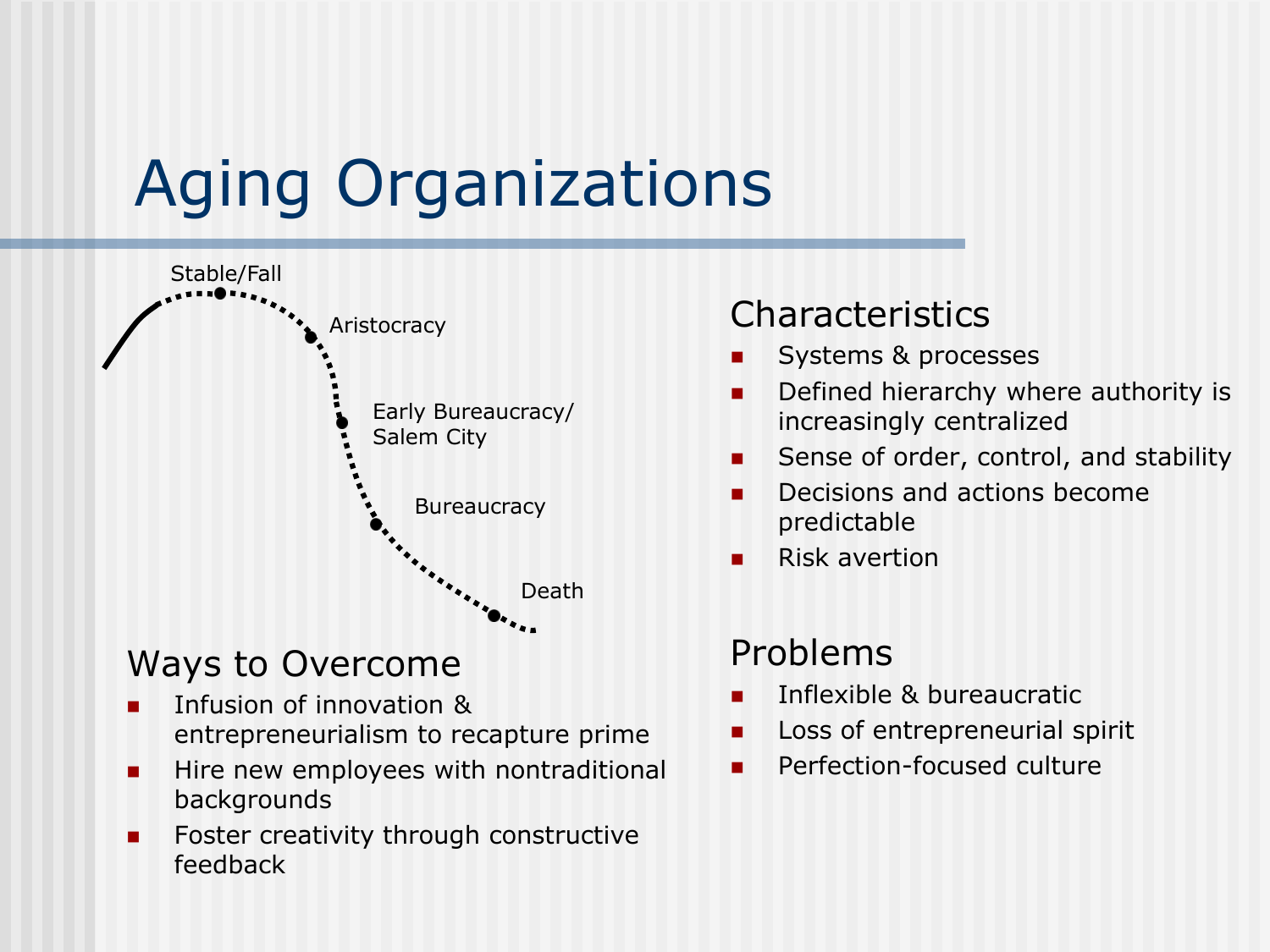### Aging Organizations



#### Ways to Overcome

- Infusion of innovation & entrepreneurialism to recapture prime
- **Hire new employees with nontraditional** backgrounds
- **Foster creativity through constructive** feedback

#### **Characteristics**

- Systems & processes
- Defined hierarchy where authority is increasingly centralized
- Sense of order, control, and stability
- **Decisions and actions become** predictable
- $\blacksquare$  Risk avertion

#### Problems

- Inflexible & bureaucratic
- Loss of entrepreneurial spirit
- **Perfection-focused culture**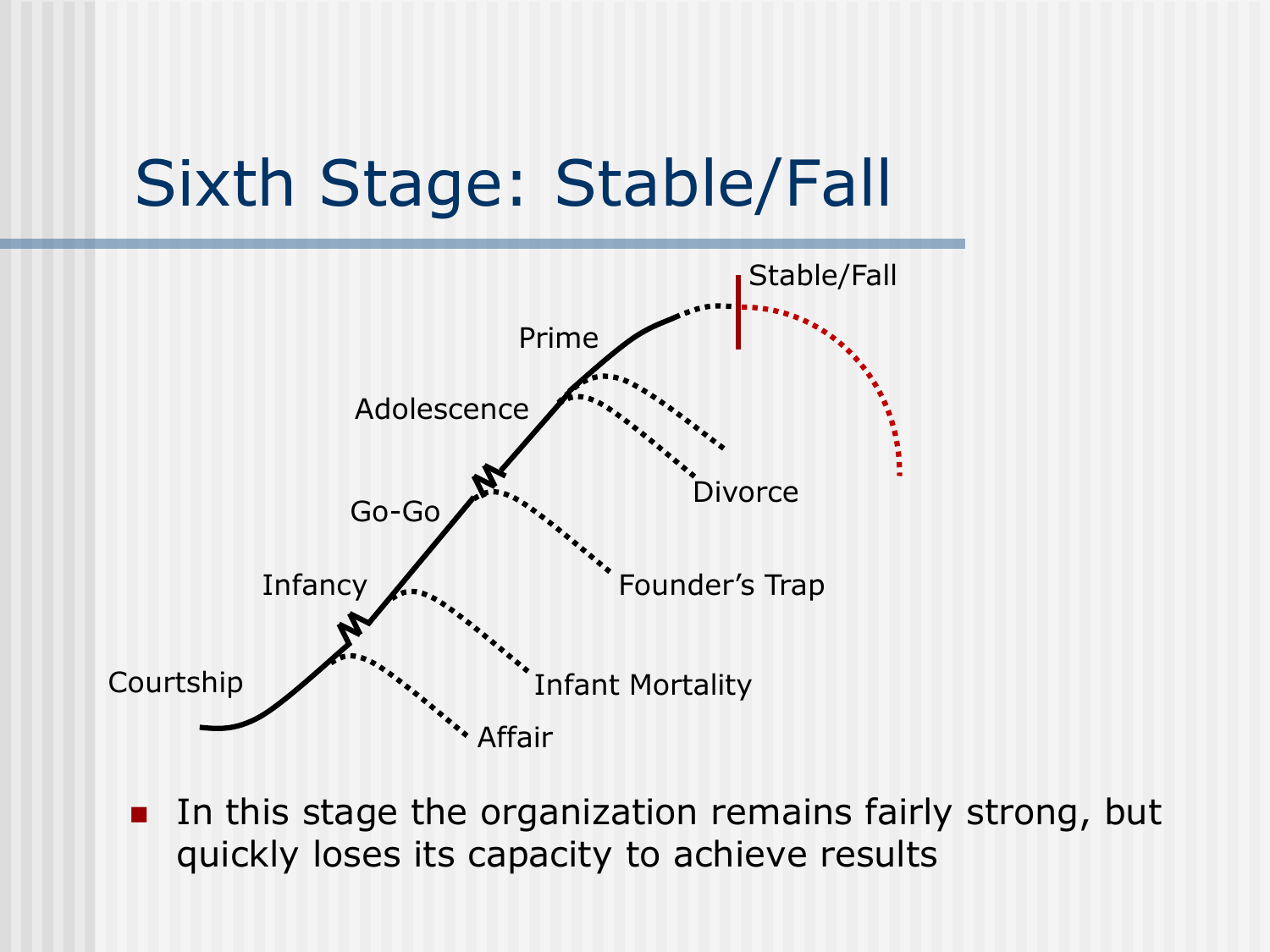### Sixth Stage: Stable/Fall



**IF In this stage the organization remains fairly strong, but** quickly loses its capacity to achieve results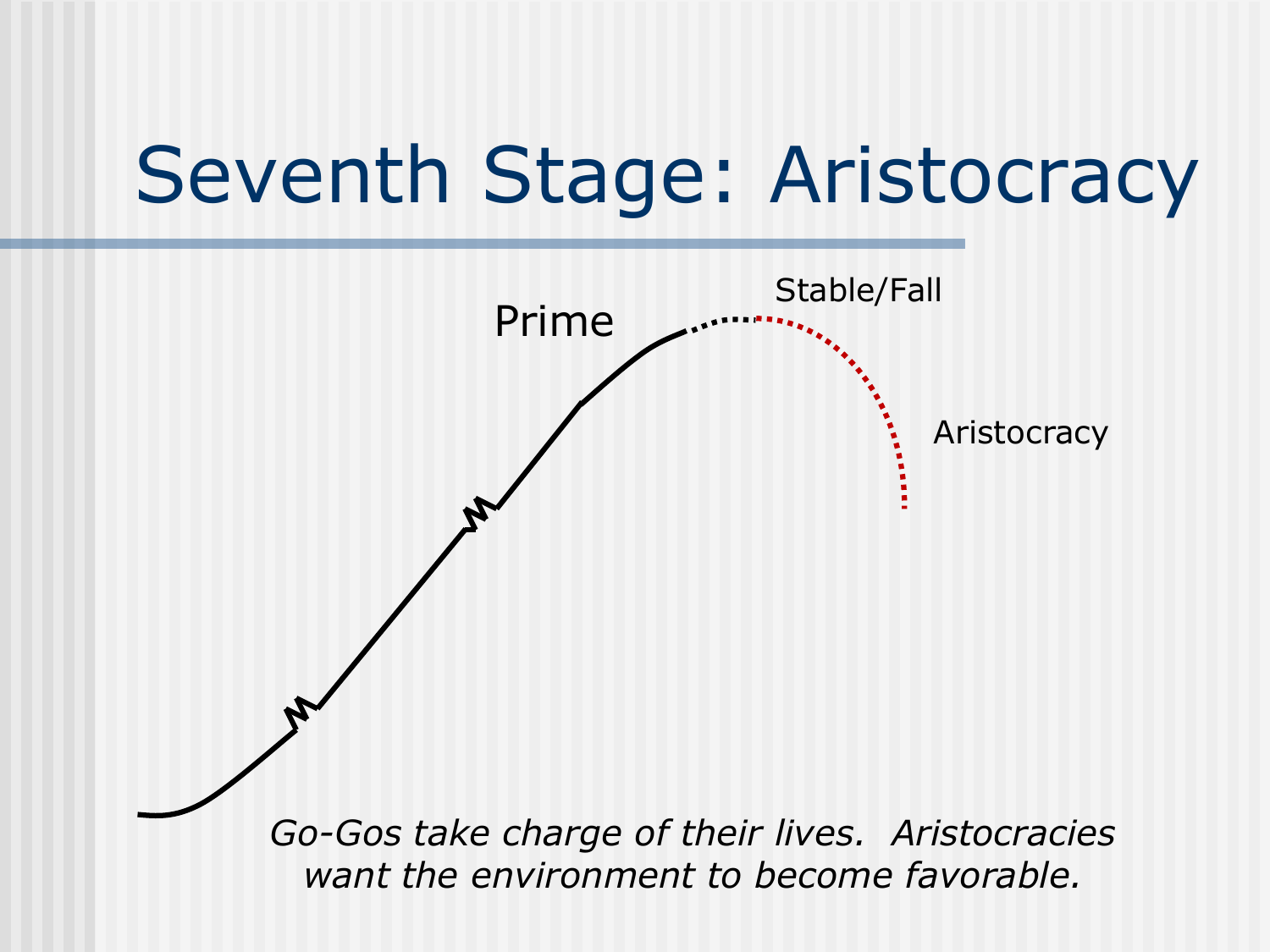### Seventh Stage: Aristocracy

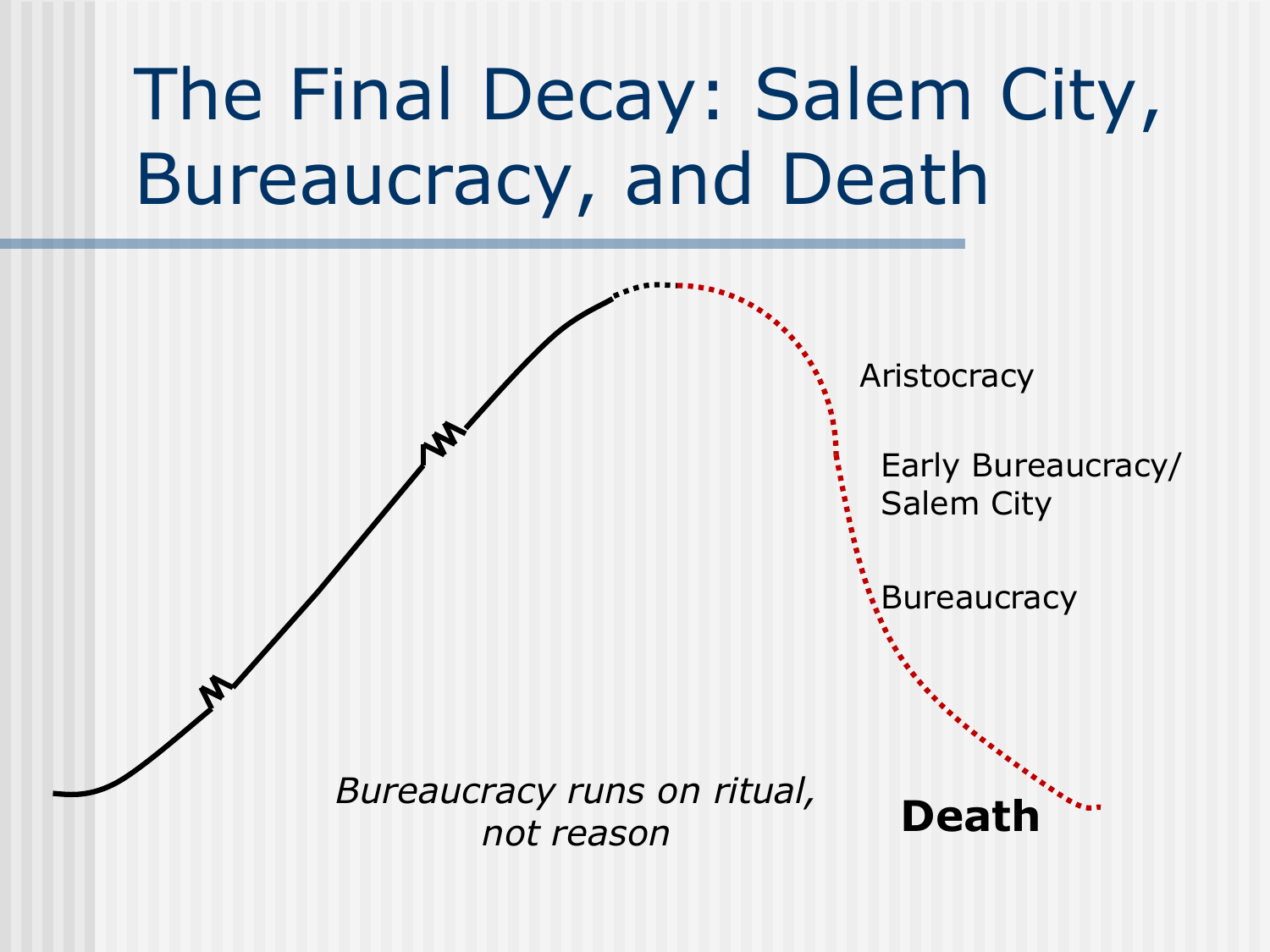### The Final Decay: Salem City, Bureaucracy, and Death

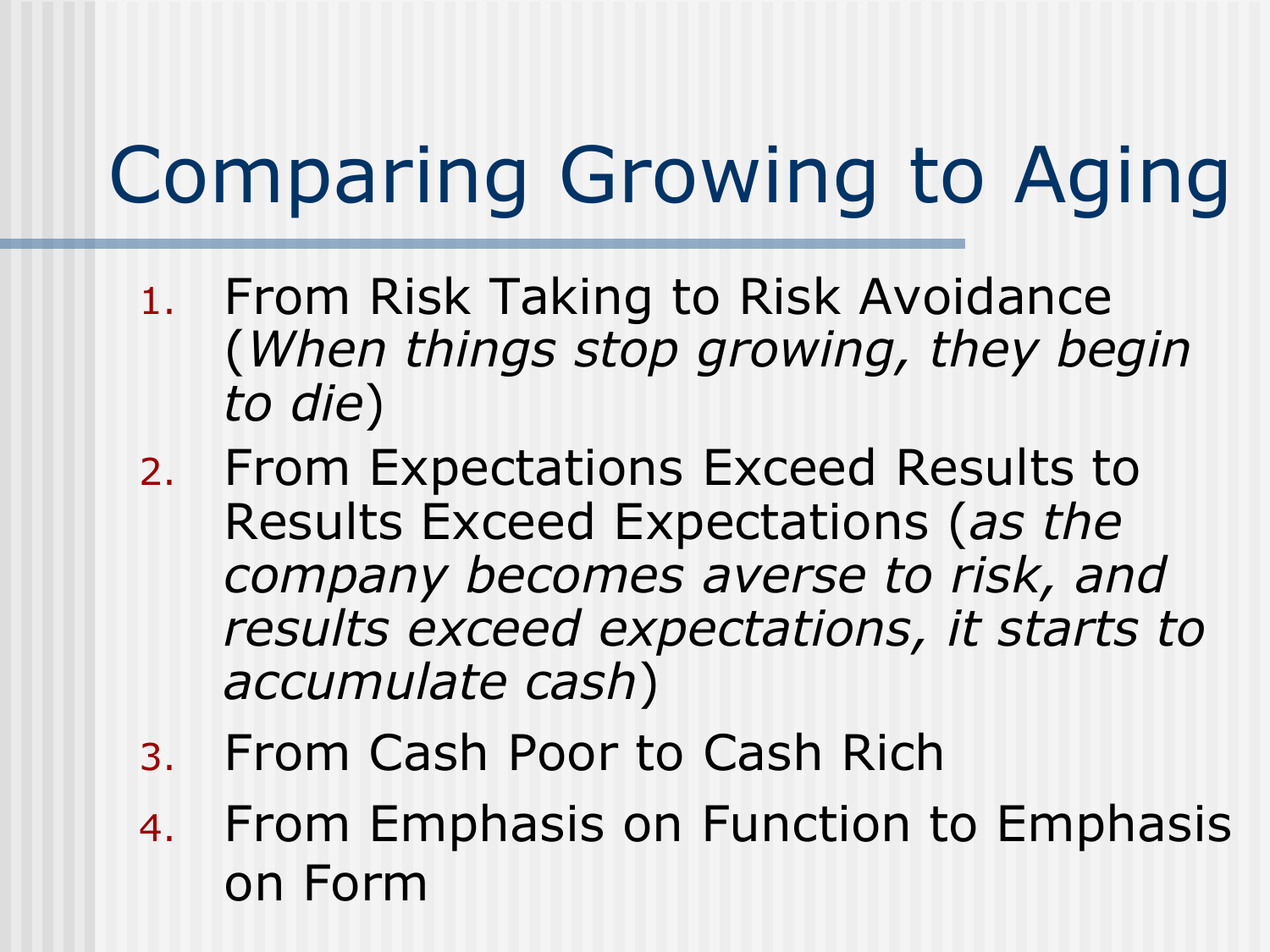- 1. From Risk Taking to Risk Avoidance (*When things stop growing, they begin to die*)
- 2. From Expectations Exceed Results to Results Exceed Expectations (*as the company becomes averse to risk, and results exceed expectations, it starts to accumulate cash*)
- 3. From Cash Poor to Cash Rich
- 4. From Emphasis on Function to Emphasis on Form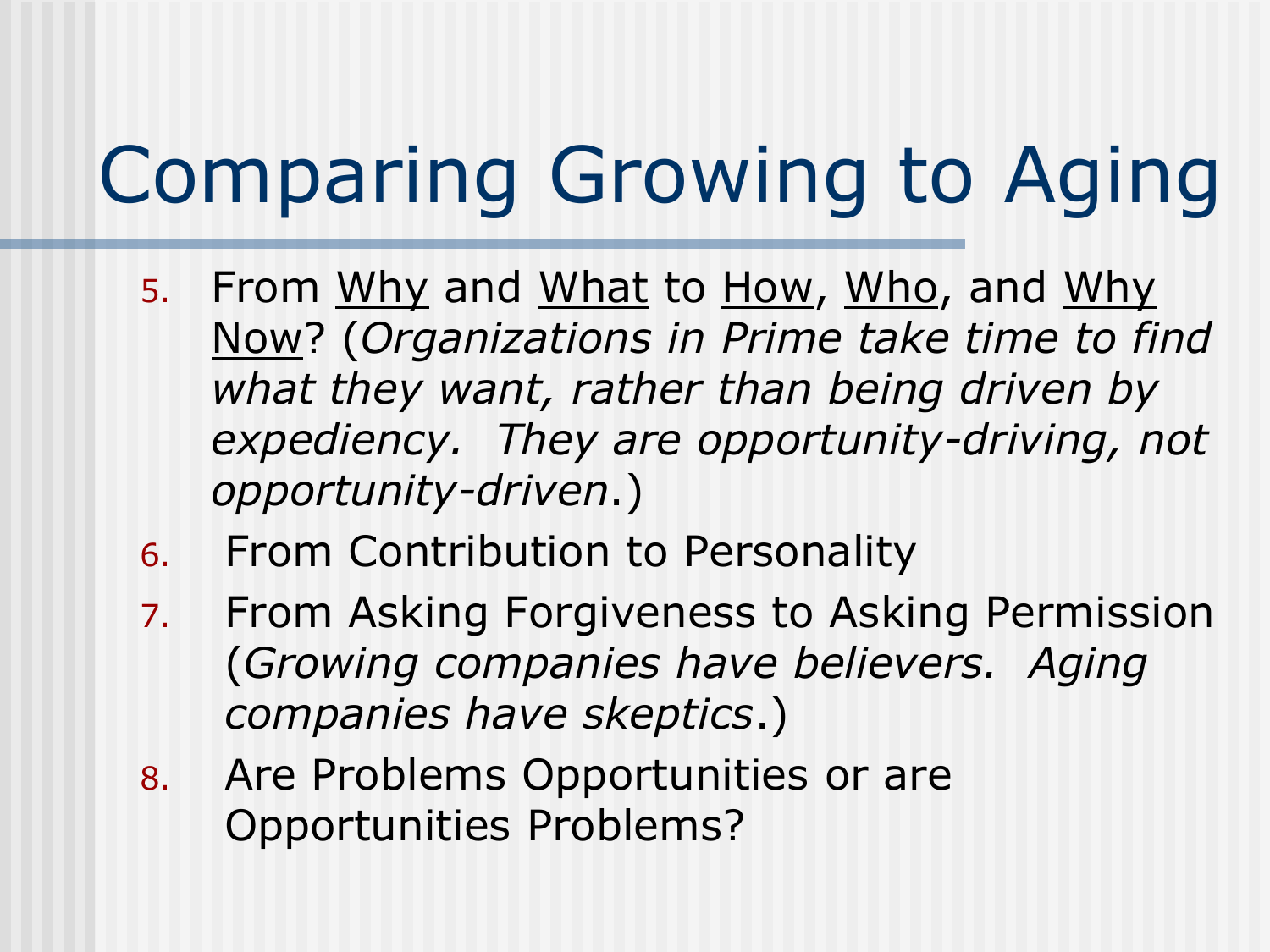- 5. From Why and What to How, Who, and Why Now? (*Organizations in Prime take time to find what they want, rather than being driven by expediency. They are opportunity-driving, not opportunity-driven*.)
- 6. From Contribution to Personality
- 7. From Asking Forgiveness to Asking Permission (*Growing companies have believers. Aging companies have skeptics*.)
- 8. Are Problems Opportunities or are Opportunities Problems?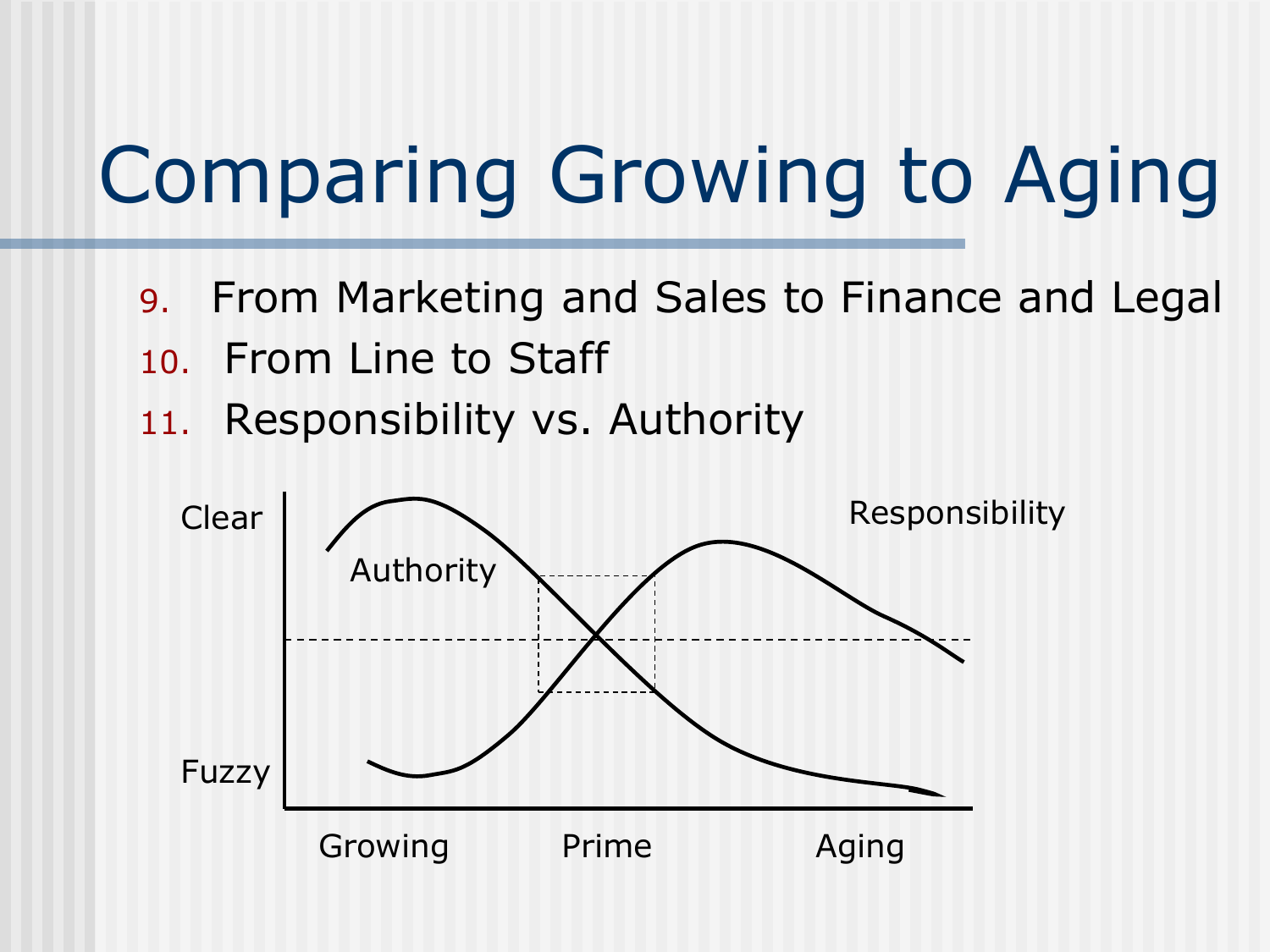- 9. From Marketing and Sales to Finance and Legal
- 10. From Line to Staff
- 11. Responsibility vs. Authority

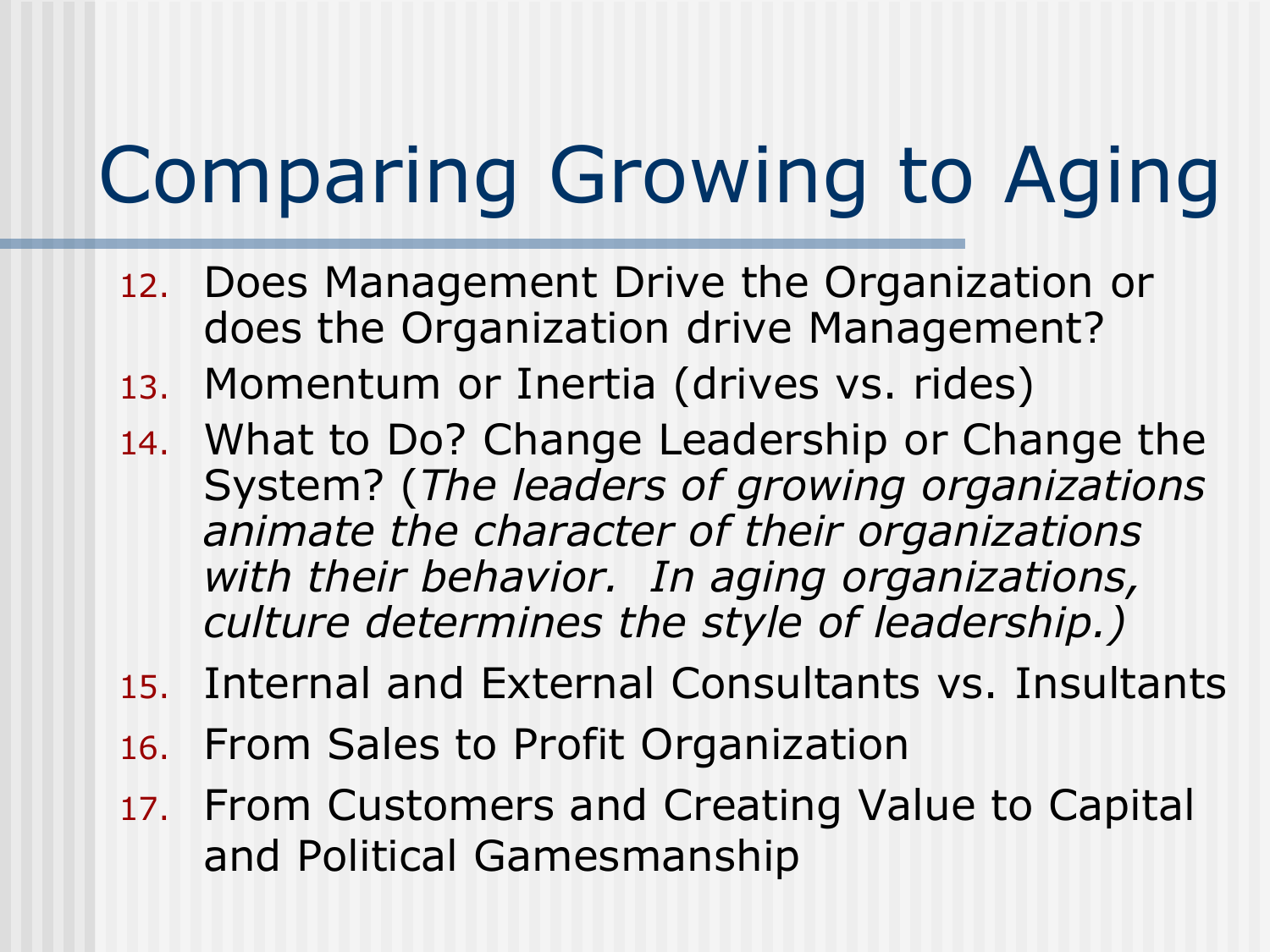- 12. Does Management Drive the Organization or does the Organization drive Management?
- 13. Momentum or Inertia (drives vs. rides)
- 14. What to Do? Change Leadership or Change the System? (*The leaders of growing organizations animate the character of their organizations with their behavior. In aging organizations, culture determines the style of leadership.)*
- 15. Internal and External Consultants vs. Insultants
- 16. From Sales to Profit Organization
- 17. From Customers and Creating Value to Capital and Political Gamesmanship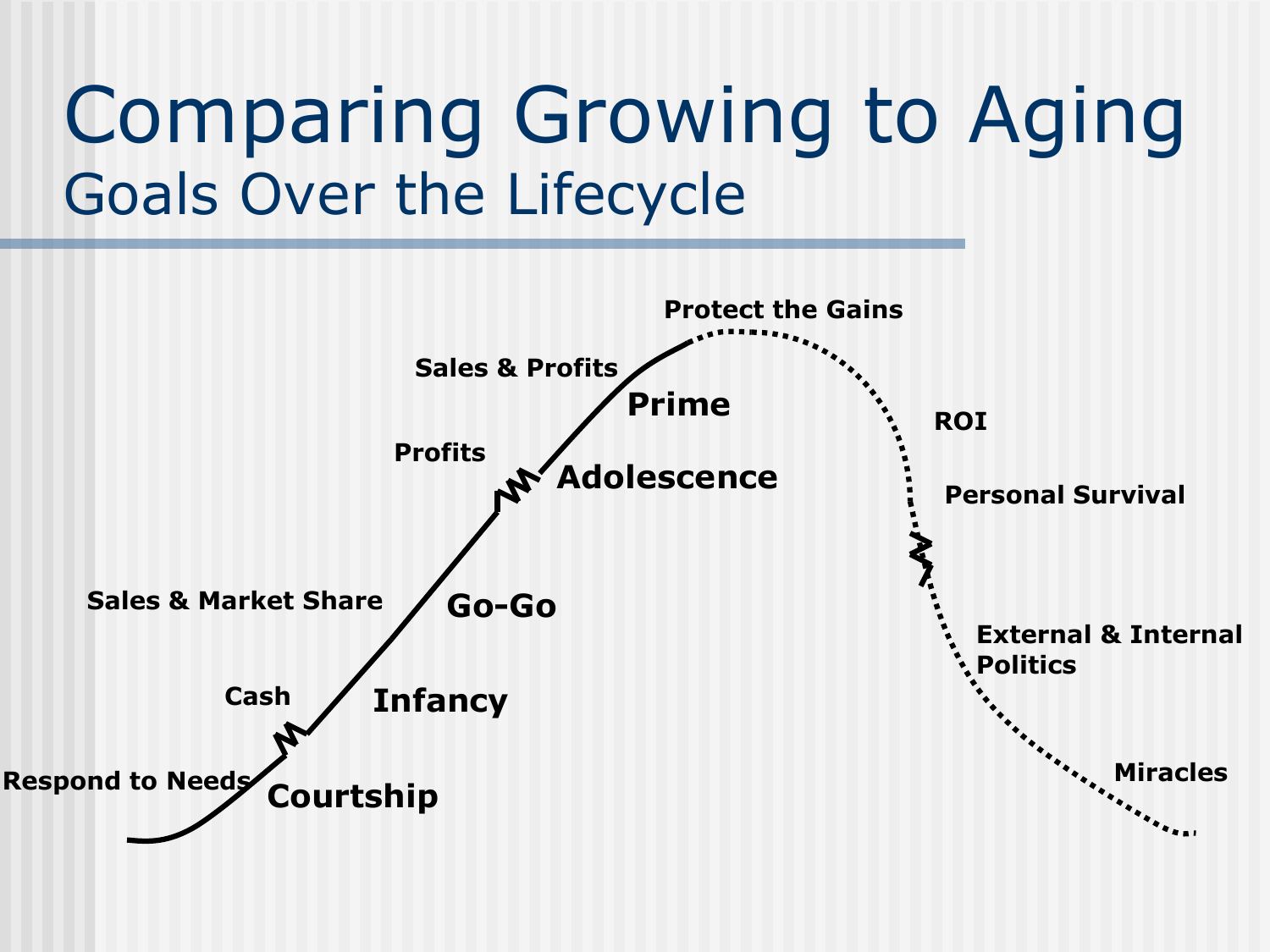### Comparing Growing to Aging Goals Over the Lifecycle